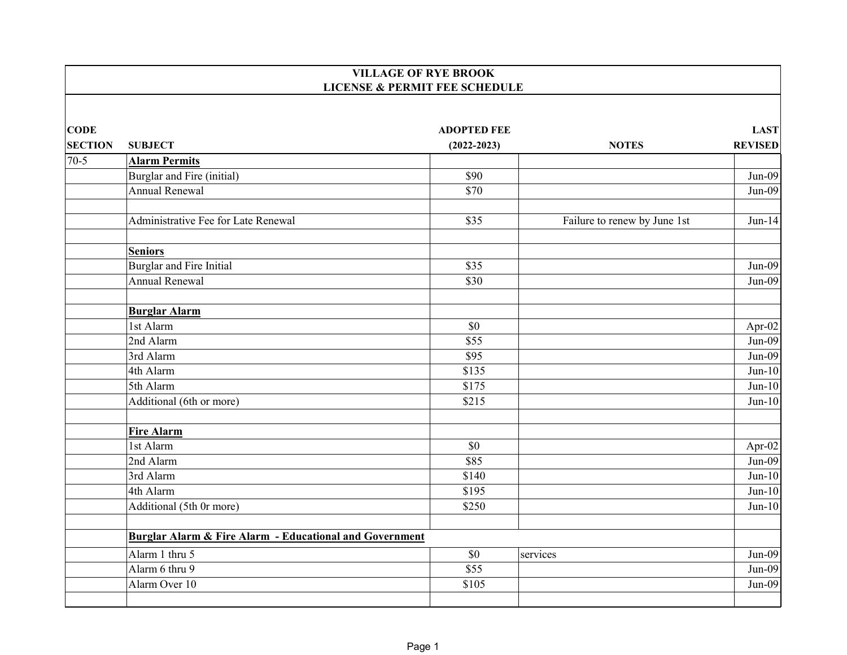|                |                                                                    | <b>VILLAGE OF RYE BROOK</b>              |                              |                |
|----------------|--------------------------------------------------------------------|------------------------------------------|------------------------------|----------------|
|                |                                                                    | <b>LICENSE &amp; PERMIT FEE SCHEDULE</b> |                              |                |
| <b>CODE</b>    |                                                                    | <b>ADOPTED FEE</b>                       |                              | <b>LAST</b>    |
| <b>SECTION</b> | <b>SUBJECT</b>                                                     | $(2022 - 2023)$                          | <b>NOTES</b>                 | <b>REVISED</b> |
| $70-5$         | <b>Alarm Permits</b>                                               |                                          |                              |                |
|                | Burglar and Fire (initial)                                         | \$90                                     |                              | $Jun-09$       |
|                | <b>Annual Renewal</b>                                              | \$70                                     |                              | $Jun-09$       |
|                | Administrative Fee for Late Renewal                                | \$35                                     | Failure to renew by June 1st | $Jun-14$       |
|                | <b>Seniors</b>                                                     |                                          |                              |                |
|                | Burglar and Fire Initial                                           | \$35                                     |                              | $Jun-09$       |
|                | <b>Annual Renewal</b>                                              | \$30                                     |                              | $Jun-09$       |
|                | <b>Burglar Alarm</b>                                               |                                          |                              |                |
|                | 1st Alarm                                                          | \$0                                      |                              | Apr-02         |
|                | $\overline{2}$ nd Alarm                                            | \$55                                     |                              | $Jun-09$       |
|                | 3rd Alarm                                                          | \$95                                     |                              | $Jun-09$       |
|                | 4th Alarm                                                          | \$135                                    |                              | $Jun-10$       |
|                | 5th Alarm                                                          | \$175                                    |                              | $Jun-10$       |
|                | Additional (6th or more)                                           | \$215                                    |                              | $Jun-10$       |
|                | <b>Fire Alarm</b>                                                  |                                          |                              |                |
|                | 1st Alarm                                                          | \$0                                      |                              | Apr-02         |
|                | 2nd Alarm                                                          | \$85                                     |                              | $Jun-09$       |
|                | 3rd Alarm                                                          | \$140                                    |                              | $Jun-10$       |
|                | 4th Alarm                                                          | \$195                                    |                              | $Jun-10$       |
|                | Additional (5th 0r more)                                           | \$250                                    |                              | $Jun-10$       |
|                | <b>Burglar Alarm &amp; Fire Alarm - Educational and Government</b> |                                          |                              |                |
|                | Alarm 1 thru 5                                                     | \$0                                      | services                     | $Jun-09$       |
|                | Alarm 6 thru 9                                                     | \$55                                     |                              | $Jun-09$       |
|                | Alarm Over 10                                                      | \$105                                    |                              | $Jun-09$       |
|                |                                                                    |                                          |                              |                |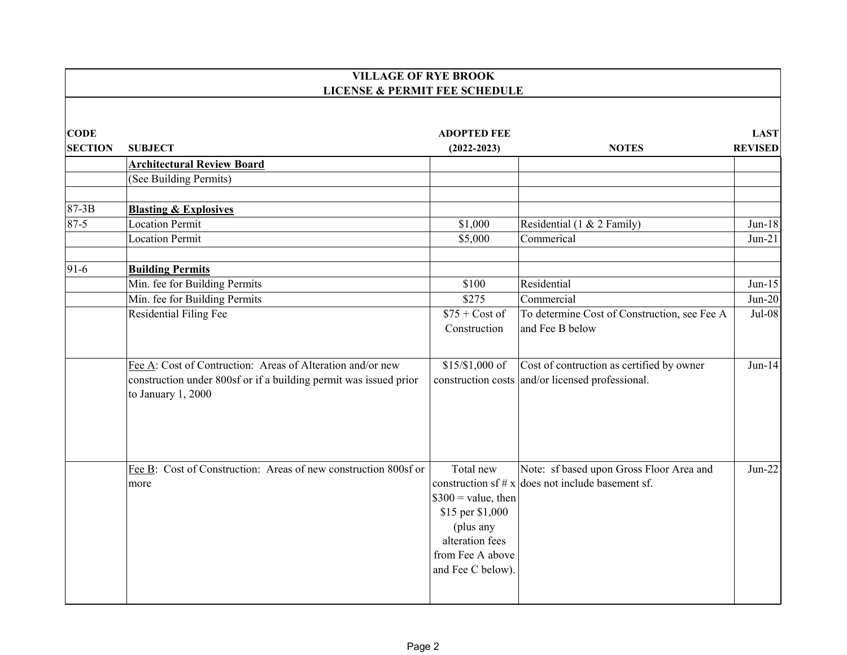|                               | <b>VILLAGE OF RYE BROOK</b><br><b>LICENSE &amp; PERMIT FEE SCHEDULE</b>                                                                               |                                                                                                                                |                                                                                                 |                               |  |
|-------------------------------|-------------------------------------------------------------------------------------------------------------------------------------------------------|--------------------------------------------------------------------------------------------------------------------------------|-------------------------------------------------------------------------------------------------|-------------------------------|--|
| <b>CODE</b><br><b>SECTION</b> | <b>SUBJECT</b>                                                                                                                                        | <b>ADOPTED FEE</b><br>$(2022 - 2023)$                                                                                          | <b>NOTES</b>                                                                                    | <b>LAST</b><br><b>REVISED</b> |  |
|                               | <b>Architectural Review Board</b>                                                                                                                     |                                                                                                                                |                                                                                                 |                               |  |
|                               | (See Building Permits)                                                                                                                                |                                                                                                                                |                                                                                                 |                               |  |
| 87-3B                         | <b>Blasting &amp; Explosives</b>                                                                                                                      |                                                                                                                                |                                                                                                 |                               |  |
| $87-5$                        | <b>Location Permit</b>                                                                                                                                | \$1,000                                                                                                                        | Residential (1 & 2 Family)                                                                      | $Jun-18$                      |  |
|                               | <b>Location Permit</b>                                                                                                                                | \$5,000                                                                                                                        | Commerical                                                                                      | $Jun-21$                      |  |
| $91-6$                        | <b>Building Permits</b>                                                                                                                               |                                                                                                                                |                                                                                                 |                               |  |
|                               | Min. fee for Building Permits                                                                                                                         | \$100                                                                                                                          | Residential                                                                                     | $Jun-15$                      |  |
|                               | Min. fee for Building Permits                                                                                                                         | \$275                                                                                                                          | Commercial                                                                                      | $Jun-20$                      |  |
|                               | Residential Filing Fee                                                                                                                                | $$75 + Cost of$<br>Construction                                                                                                | To determine Cost of Construction, see Fee A<br>and Fee B below                                 | Jul-08                        |  |
|                               | Fee A: Cost of Contruction: Areas of Alteration and/or new<br>construction under 800sf or if a building permit was issued prior<br>to January 1, 2000 | $$15/$1,000$ of                                                                                                                | Cost of contruction as certified by owner<br>construction costs and/or licensed professional.   | $Jun-14$                      |  |
|                               | Fee B: Cost of Construction: Areas of new construction 800sf or<br>more                                                                               | Total new<br>$$300 =$ value, then<br>\$15 per \$1,000<br>(plus any<br>alteration fees<br>from Fee A above<br>and Fee C below). | Note: sf based upon Gross Floor Area and<br>construction sf # $x$ does not include basement sf. | $Jun-22$                      |  |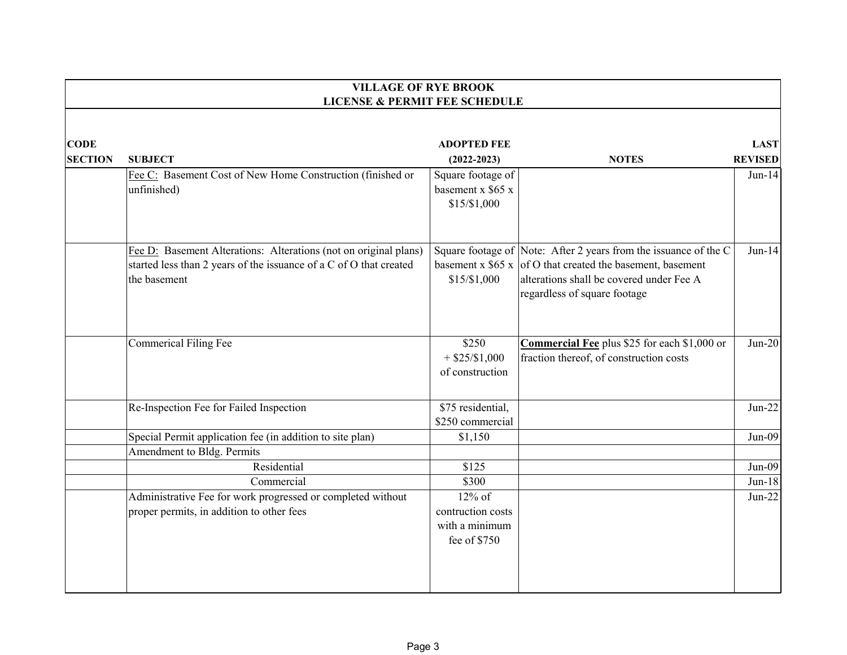|                               | <b>VILLAGE OF RYE BROOK</b><br><b>LICENSE &amp; PERMIT FEE SCHEDULE</b>                                                                                |                                                        |                                                                                                                                                                                                             |                               |  |
|-------------------------------|--------------------------------------------------------------------------------------------------------------------------------------------------------|--------------------------------------------------------|-------------------------------------------------------------------------------------------------------------------------------------------------------------------------------------------------------------|-------------------------------|--|
| <b>CODE</b><br><b>SECTION</b> | <b>SUBJECT</b>                                                                                                                                         | <b>ADOPTED FEE</b><br>$(2022 - 2023)$                  | <b>NOTES</b>                                                                                                                                                                                                | <b>LAST</b><br><b>REVISED</b> |  |
|                               | Fee C: Basement Cost of New Home Construction (finished or<br>unfinished)                                                                              | Square footage of<br>basement x \$65 x<br>\$15/\$1,000 |                                                                                                                                                                                                             | $Jun-14$                      |  |
|                               | Fee D: Basement Alterations: Alterations (not on original plans)<br>started less than 2 years of the issuance of a C of O that created<br>the basement | \$15/\$1,000                                           | Square footage of Note: After 2 years from the issuance of the C<br>basement x $$65 x$ of O that created the basement, basement<br>alterations shall be covered under Fee A<br>regardless of square footage | $Jun-14$                      |  |
|                               | Commerical Filing Fee                                                                                                                                  | \$250<br>$+$ \$25/\$1,000<br>of construction           | Commercial Fee plus \$25 for each \$1,000 or<br>fraction thereof, of construction costs                                                                                                                     | $Jun-20$                      |  |
|                               | Re-Inspection Fee for Failed Inspection                                                                                                                | \$75 residential,<br>\$250 commercial                  |                                                                                                                                                                                                             | $Jun-22$                      |  |
|                               | Special Permit application fee (in addition to site plan)                                                                                              | \$1,150                                                |                                                                                                                                                                                                             | $Jun-09$                      |  |
|                               | Amendment to Bldg. Permits                                                                                                                             |                                                        |                                                                                                                                                                                                             |                               |  |
|                               | Residential                                                                                                                                            | \$125                                                  |                                                                                                                                                                                                             | $Jun-09$                      |  |
|                               | Commercial                                                                                                                                             | \$300                                                  |                                                                                                                                                                                                             | $Jun-18$                      |  |
|                               | Administrative Fee for work progressed or completed without                                                                                            | $12\%$ of                                              |                                                                                                                                                                                                             | $Jun-22$                      |  |
|                               | proper permits, in addition to other fees                                                                                                              | contruction costs<br>with a minimum<br>fee of \$750    |                                                                                                                                                                                                             |                               |  |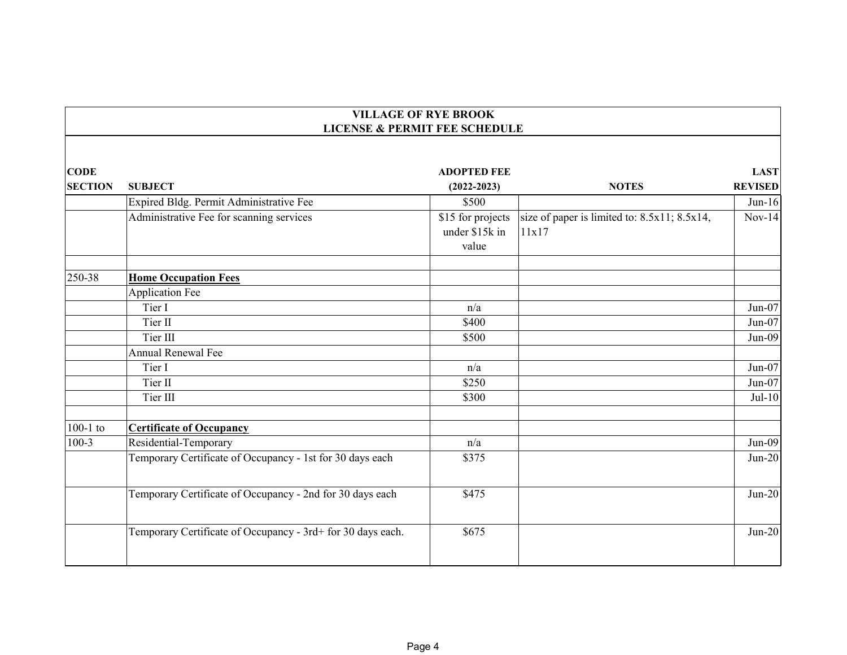|                               | <b>VILLAGE OF RYE BROOK</b><br><b>LICENSE &amp; PERMIT FEE SCHEDULE</b> |                                              |                                                             |                               |  |
|-------------------------------|-------------------------------------------------------------------------|----------------------------------------------|-------------------------------------------------------------|-------------------------------|--|
|                               |                                                                         |                                              |                                                             |                               |  |
| <b>CODE</b><br><b>SECTION</b> | <b>SUBJECT</b>                                                          | <b>ADOPTED FEE</b><br>$(2022 - 2023)$        | <b>NOTES</b>                                                | <b>LAST</b><br><b>REVISED</b> |  |
|                               | Expired Bldg. Permit Administrative Fee                                 | \$500                                        |                                                             | $Jun-16$                      |  |
|                               | Administrative Fee for scanning services                                | \$15 for projects<br>under \$15k in<br>value | size of paper is limited to: $8.5x11$ ; $8.5x14$ ,<br>11x17 | $Nov-14$                      |  |
| 250-38                        | <b>Home Occupation Fees</b>                                             |                                              |                                                             |                               |  |
|                               | <b>Application Fee</b>                                                  |                                              |                                                             |                               |  |
|                               | Tier I                                                                  | n/a                                          |                                                             | $Jun-07$                      |  |
|                               | Tier II                                                                 | \$400                                        |                                                             | $Jun-07$                      |  |
|                               | Tier III                                                                | \$500                                        |                                                             | $Jun-09$                      |  |
|                               | <b>Annual Renewal Fee</b>                                               |                                              |                                                             |                               |  |
|                               | Tier I                                                                  | n/a                                          |                                                             | Jun-07                        |  |
|                               | Tier II                                                                 | \$250                                        |                                                             | $Jun-07$                      |  |
|                               | Tier III                                                                | \$300                                        |                                                             | $Jul-10$                      |  |
| $100-1$ to                    | <b>Certificate of Occupancy</b>                                         |                                              |                                                             |                               |  |
| $100-3$                       | Residential-Temporary                                                   | n/a                                          |                                                             | $Jun-09$                      |  |
|                               | Temporary Certificate of Occupancy - 1st for 30 days each               | \$375                                        |                                                             | $Jun-20$                      |  |
|                               | Temporary Certificate of Occupancy - 2nd for 30 days each               | \$475                                        |                                                             | $Jun-20$                      |  |
|                               | Temporary Certificate of Occupancy - 3rd+ for 30 days each.             | \$675                                        |                                                             | $Jun-20$                      |  |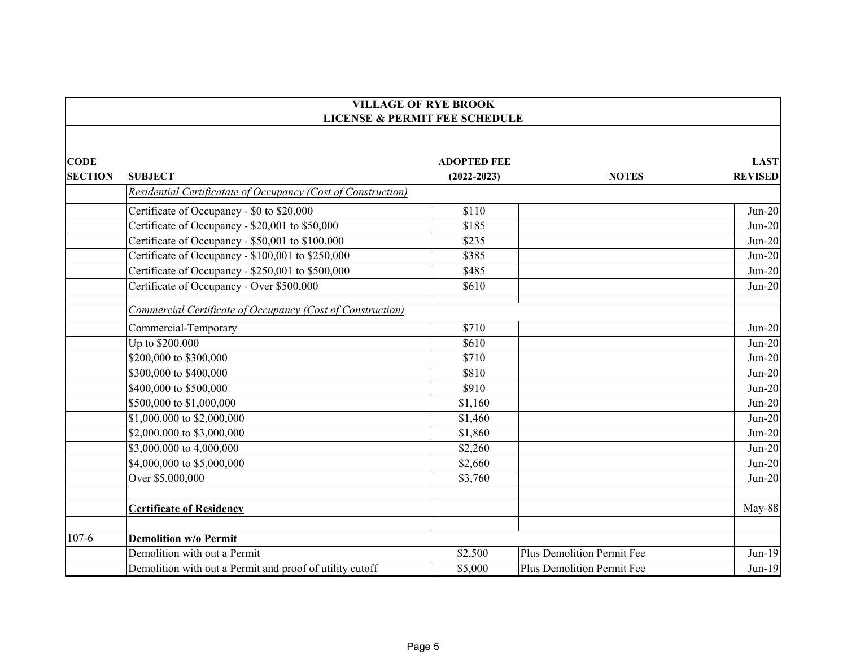|                | <b>VILLAGE OF RYE BROOK</b><br><b>LICENSE &amp; PERMIT FEE SCHEDULE</b> |                    |                            |                |  |
|----------------|-------------------------------------------------------------------------|--------------------|----------------------------|----------------|--|
|                |                                                                         |                    |                            |                |  |
| <b>CODE</b>    |                                                                         | <b>ADOPTED FEE</b> |                            | <b>LAST</b>    |  |
| <b>SECTION</b> | <b>SUBJECT</b>                                                          | $(2022 - 2023)$    | <b>NOTES</b>               | <b>REVISED</b> |  |
|                | Residential Certificatate of Occupancy (Cost of Construction)           |                    |                            |                |  |
|                | Certificate of Occupancy - \$0 to \$20,000                              | \$110              |                            | $Jun-20$       |  |
|                | Certificate of Occupancy - \$20,001 to \$50,000                         | \$185              |                            | $Jun-20$       |  |
|                | Certificate of Occupancy - \$50,001 to \$100,000                        | \$235              |                            | $Jun-20$       |  |
|                | Certificate of Occupancy - \$100,001 to \$250,000                       | \$385              |                            | $Jun-20$       |  |
|                | Certificate of Occupancy - \$250,001 to \$500,000                       | \$485              |                            | $Jun-20$       |  |
|                | Certificate of Occupancy - Over \$500,000                               | \$610              |                            | $Jun-20$       |  |
|                | Commercial Certificate of Occupancy (Cost of Construction)              |                    |                            |                |  |
|                | Commercial-Temporary                                                    | \$710              |                            | $Jun-20$       |  |
|                | Up to \$200,000                                                         | \$610              |                            | $Jun-20$       |  |
|                | \$200,000 to \$300,000                                                  | \$710              |                            | $Jun-20$       |  |
|                | \$300,000 to \$400,000                                                  | \$810              |                            | $Jun-20$       |  |
|                | \$400,000 to \$500,000                                                  | \$910              |                            | $Jun-20$       |  |
|                | \$500,000 to \$1,000,000                                                | \$1,160            |                            | $Jun-20$       |  |
|                | \$1,000,000 to \$2,000,000                                              | \$1,460            |                            | $Jun-20$       |  |
|                | \$2,000,000 to \$3,000,000                                              | \$1,860            |                            | $Jun-20$       |  |
|                | \$3,000,000 to 4,000,000                                                | \$2,260            |                            | $Jun-20$       |  |
|                | \$4,000,000 to \$5,000,000                                              | \$2,660            |                            | $Jun-20$       |  |
|                | Over \$5,000,000                                                        | \$3,760            |                            | $Jun-20$       |  |
|                | <b>Certificate of Residency</b>                                         |                    |                            | May-88         |  |
| $107 - 6$      | <b>Demolition w/o Permit</b>                                            |                    |                            |                |  |
|                | Demolition with out a Permit                                            | \$2,500            | Plus Demolition Permit Fee | $Jun-19$       |  |
|                | Demolition with out a Permit and proof of utility cutoff                | \$5,000            | Plus Demolition Permit Fee | $Jun-19$       |  |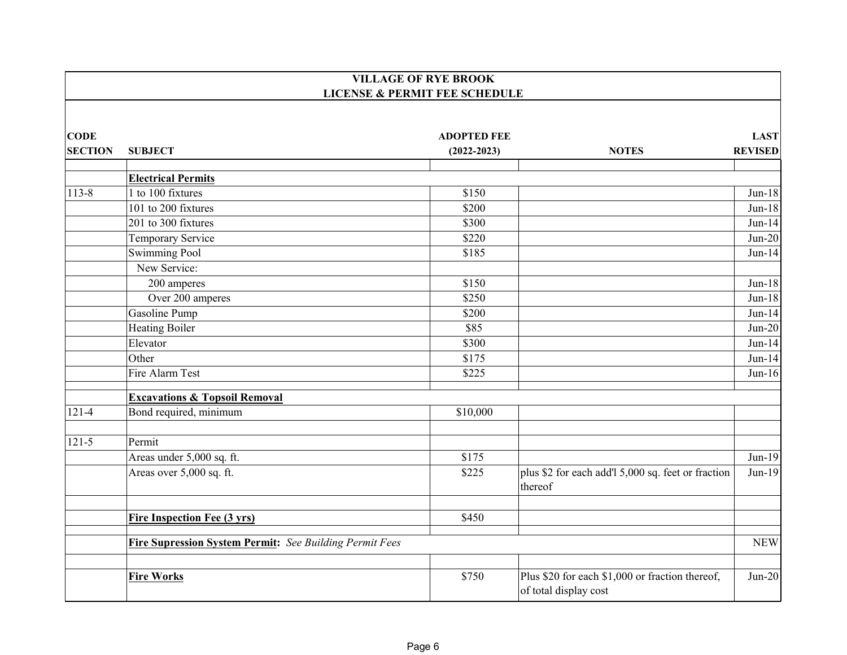|                | <b>VILLAGE OF RYE BROOK</b><br><b>LICENSE &amp; PERMIT FEE SCHEDULE</b> |                    |                                                                          |                |  |
|----------------|-------------------------------------------------------------------------|--------------------|--------------------------------------------------------------------------|----------------|--|
|                |                                                                         |                    |                                                                          |                |  |
| <b>CODE</b>    |                                                                         | <b>ADOPTED FEE</b> |                                                                          | <b>LAST</b>    |  |
| <b>SECTION</b> | <b>SUBJECT</b>                                                          | $(2022 - 2023)$    | <b>NOTES</b>                                                             | <b>REVISED</b> |  |
|                | <b>Electrical Permits</b>                                               |                    |                                                                          |                |  |
| $113 - 8$      | 1 to 100 fixtures                                                       | \$150              |                                                                          | $Jun-18$       |  |
|                | 101 to 200 fixtures                                                     | \$200              |                                                                          | $Jun-18$       |  |
|                | 201 to 300 fixtures                                                     | \$300              |                                                                          | $Jun-14$       |  |
|                | Temporary Service                                                       | \$220              |                                                                          | $Jun-20$       |  |
|                | <b>Swimming Pool</b>                                                    | \$185              |                                                                          | $Jun-14$       |  |
|                | New Service:                                                            |                    |                                                                          |                |  |
|                | 200 amperes                                                             | \$150              |                                                                          | $Jun-18$       |  |
|                | Over 200 amperes                                                        | \$250              |                                                                          | $Jun-18$       |  |
|                | Gasoline Pump                                                           | \$200              |                                                                          | $Jun-14$       |  |
|                | <b>Heating Boiler</b>                                                   | \$85               |                                                                          | $Jun-20$       |  |
|                | Elevator                                                                | \$300              |                                                                          | $Jun-14$       |  |
|                | Other                                                                   | \$175              |                                                                          | $Jun-14$       |  |
|                | Fire Alarm Test                                                         | \$225              |                                                                          | $Jun-16$       |  |
|                | <b>Excavations &amp; Topsoil Removal</b>                                |                    |                                                                          |                |  |
| $121 - 4$      | Bond required, minimum                                                  | \$10,000           |                                                                          |                |  |
| $121 - 5$      | Permit                                                                  |                    |                                                                          |                |  |
|                | Areas under 5,000 sq. ft.                                               | \$175              |                                                                          | $Jun-19$       |  |
|                | Areas over 5,000 sq. ft.                                                | \$225              | plus \$2 for each add'l 5,000 sq. feet or fraction<br>thereof            | $Jun-19$       |  |
|                | <b>Fire Inspection Fee (3 yrs)</b>                                      | \$450              |                                                                          |                |  |
|                |                                                                         |                    |                                                                          |                |  |
|                | Fire Supression System Permit: See Building Permit Fees                 |                    |                                                                          | <b>NEW</b>     |  |
|                | <b>Fire Works</b>                                                       | \$750              | Plus \$20 for each \$1,000 or fraction thereof,<br>of total display cost | $Jun-20$       |  |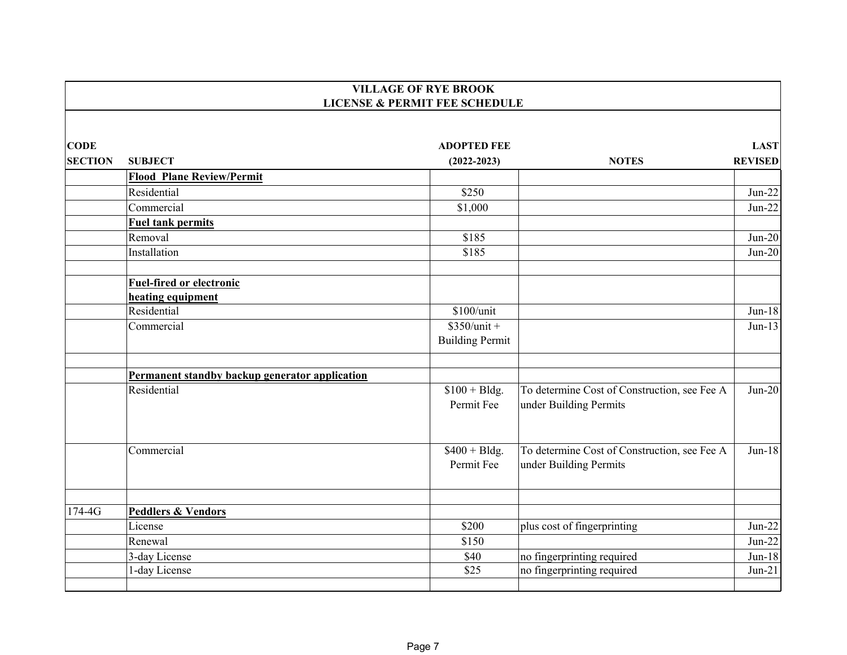|                | <b>VILLAGE OF RYE BROOK</b>                          |                                          |                                                                        |                |  |
|----------------|------------------------------------------------------|------------------------------------------|------------------------------------------------------------------------|----------------|--|
|                |                                                      | <b>LICENSE &amp; PERMIT FEE SCHEDULE</b> |                                                                        |                |  |
| <b>CODE</b>    |                                                      | <b>ADOPTED FEE</b>                       |                                                                        | <b>LAST</b>    |  |
| <b>SECTION</b> | <b>SUBJECT</b>                                       | $(2022 - 2023)$                          | <b>NOTES</b>                                                           | <b>REVISED</b> |  |
|                | <b>Flood Plane Review/Permit</b>                     |                                          |                                                                        |                |  |
|                | Residential                                          | \$250                                    |                                                                        | $Jun-22$       |  |
|                | Commercial                                           | \$1,000                                  |                                                                        | $Jun-22$       |  |
|                | <b>Fuel tank permits</b>                             |                                          |                                                                        |                |  |
|                | Removal                                              | \$185                                    |                                                                        | $Jun-20$       |  |
|                | Installation                                         | \$185                                    |                                                                        | $Jun-20$       |  |
|                | <b>Fuel-fired or electronic</b><br>heating equipment |                                          |                                                                        |                |  |
|                | Residential                                          | \$100/unit                               |                                                                        | $Jun-18$       |  |
|                | Commercial                                           | $$350/unit +$<br><b>Building Permit</b>  |                                                                        | $Jun-13$       |  |
|                | Permanent standby backup generator application       |                                          |                                                                        |                |  |
|                | Residential                                          | $$100 + B$ ldg.<br>Permit Fee            | To determine Cost of Construction, see Fee A<br>under Building Permits | $Jun-20$       |  |
|                | Commercial                                           | $$400 + B$ ldg.<br>Permit Fee            | To determine Cost of Construction, see Fee A<br>under Building Permits | $Jun-18$       |  |
| $174-4G$       | <b>Peddlers &amp; Vendors</b>                        |                                          |                                                                        |                |  |
|                | License                                              | \$200                                    | plus cost of fingerprinting                                            | $Jun-22$       |  |
|                | Renewal                                              | \$150                                    |                                                                        | $Jun-22$       |  |
|                | 3-day License                                        | \$40                                     | no fingerprinting required                                             | $Jun-18$       |  |
|                | 1-day License                                        | \$25                                     | no fingerprinting required                                             | $Jun-21$       |  |
|                |                                                      |                                          |                                                                        |                |  |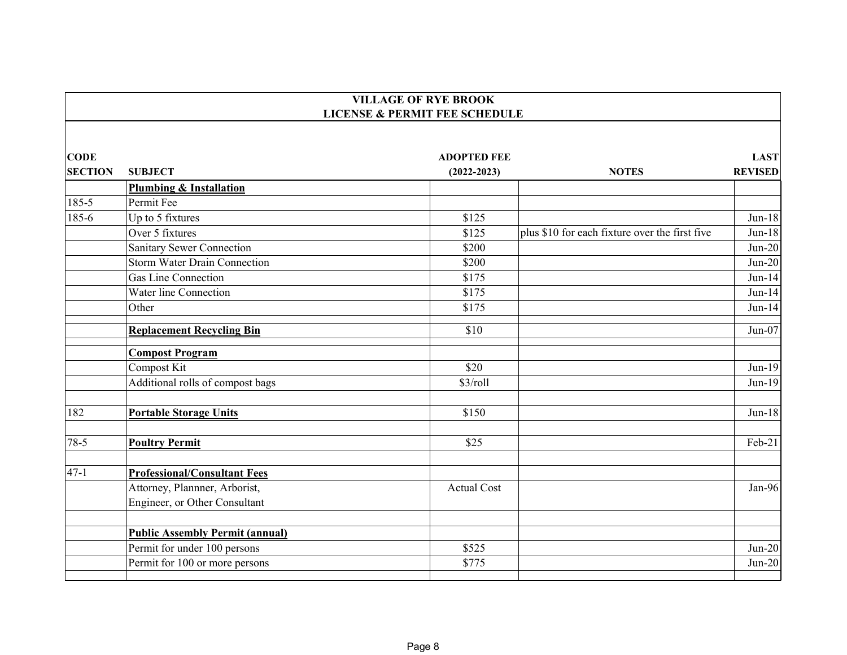|                | <b>VILLAGE OF RYE BROOK</b><br><b>LICENSE &amp; PERMIT FEE SCHEDULE</b> |                    |                                                |                |  |
|----------------|-------------------------------------------------------------------------|--------------------|------------------------------------------------|----------------|--|
|                |                                                                         |                    |                                                |                |  |
| <b>CODE</b>    |                                                                         | <b>ADOPTED FEE</b> |                                                | <b>LAST</b>    |  |
| <b>SECTION</b> | <b>SUBJECT</b>                                                          | $(2022 - 2023)$    | <b>NOTES</b>                                   | <b>REVISED</b> |  |
|                | <b>Plumbing &amp; Installation</b>                                      |                    |                                                |                |  |
| 185-5          | Permit Fee                                                              |                    |                                                |                |  |
| 185-6          | Up to 5 fixtures                                                        | \$125              |                                                | $Jun-18$       |  |
|                | Over 5 fixtures                                                         | \$125              | plus \$10 for each fixture over the first five | $Jun-18$       |  |
|                | Sanitary Sewer Connection                                               | \$200              |                                                | $Jun-20$       |  |
|                | <b>Storm Water Drain Connection</b>                                     | \$200              |                                                | $Jun-20$       |  |
|                | Gas Line Connection                                                     | \$175              |                                                | $Jun-14$       |  |
|                | Water line Connection                                                   | \$175              |                                                | $Jun-14$       |  |
|                | Other                                                                   | \$175              |                                                | $Jun-14$       |  |
|                | <b>Replacement Recycling Bin</b>                                        | \$10               |                                                | $Jun-07$       |  |
|                | <b>Compost Program</b>                                                  |                    |                                                |                |  |
|                | Compost Kit                                                             | \$20               |                                                | $Jun-19$       |  |
|                | Additional rolls of compost bags                                        | $$3$ /roll         |                                                | $Jun-19$       |  |
| 182            | <b>Portable Storage Units</b>                                           | \$150              |                                                | $Jun-18$       |  |
| $78-5$         | <b>Poultry Permit</b>                                                   | \$25               |                                                | $Feb-21$       |  |
| $47 - 1$       | <b>Professional/Consultant Fees</b>                                     |                    |                                                |                |  |
|                | Attorney, Plannner, Arborist,                                           | <b>Actual Cost</b> |                                                | Jan-96         |  |
|                | Engineer, or Other Consultant                                           |                    |                                                |                |  |
|                | <b>Public Assembly Permit (annual)</b>                                  |                    |                                                |                |  |
|                | Permit for under 100 persons                                            | \$525              |                                                | $Jun-20$       |  |
|                | Permit for 100 or more persons                                          | \$775              |                                                | $Jun-20$       |  |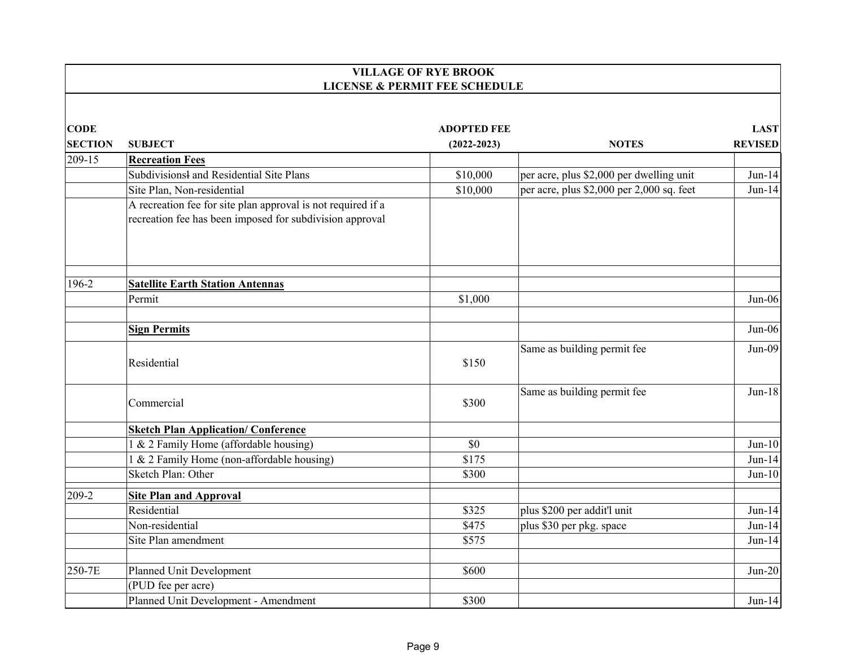|                | <b>VILLAGE OF RYE BROOK</b><br><b>LICENSE &amp; PERMIT FEE SCHEDULE</b>                                                  |                    |                                           |                |  |
|----------------|--------------------------------------------------------------------------------------------------------------------------|--------------------|-------------------------------------------|----------------|--|
|                |                                                                                                                          |                    |                                           |                |  |
| <b>CODE</b>    |                                                                                                                          | <b>ADOPTED FEE</b> |                                           | <b>LAST</b>    |  |
| <b>SECTION</b> | <b>SUBJECT</b>                                                                                                           | $(2022 - 2023)$    | <b>NOTES</b>                              | <b>REVISED</b> |  |
| 209-15         | <b>Recreation Fees</b>                                                                                                   |                    |                                           |                |  |
|                | Subdivisionsl and Residential Site Plans                                                                                 | \$10,000           | per acre, plus \$2,000 per dwelling unit  | $Jun-14$       |  |
|                | Site Plan, Non-residential                                                                                               | \$10,000           | per acre, plus \$2,000 per 2,000 sq. feet | $Jun-14$       |  |
|                | A recreation fee for site plan approval is not required if a<br>recreation fee has been imposed for subdivision approval |                    |                                           |                |  |
| 196-2          | <b>Satellite Earth Station Antennas</b>                                                                                  |                    |                                           |                |  |
|                | Permit                                                                                                                   | \$1,000            |                                           | $Jun-06$       |  |
|                | <b>Sign Permits</b>                                                                                                      |                    |                                           | $Jun-06$       |  |
|                | Residential                                                                                                              | \$150              | Same as building permit fee               | $Jun-09$       |  |
|                | Commercial                                                                                                               | \$300              | Same as building permit fee               | $Jun-18$       |  |
|                | <b>Sketch Plan Application/ Conference</b>                                                                               |                    |                                           |                |  |
|                | 1 & 2 Family Home (affordable housing)                                                                                   | \$0                |                                           | $Jun-10$       |  |
|                | 1 & 2 Family Home (non-affordable housing)                                                                               | \$175              |                                           | $Jun-14$       |  |
|                | Sketch Plan: Other                                                                                                       | \$300              |                                           | $Jun-10$       |  |
| 209-2          | <b>Site Plan and Approval</b>                                                                                            |                    |                                           |                |  |
|                | Residential                                                                                                              | \$325              | plus \$200 per addit'l unit               | $Jun-14$       |  |
|                | Non-residential                                                                                                          | \$475              | plus \$30 per pkg. space                  | $Jun-14$       |  |
|                | Site Plan amendment                                                                                                      | \$575              |                                           | $Jun-14$       |  |
| 250-7E         | Planned Unit Development                                                                                                 | \$600              |                                           | $Jun-20$       |  |
|                | (PUD fee per acre)                                                                                                       |                    |                                           |                |  |
|                | Planned Unit Development - Amendment                                                                                     | \$300              |                                           | $Jun-14$       |  |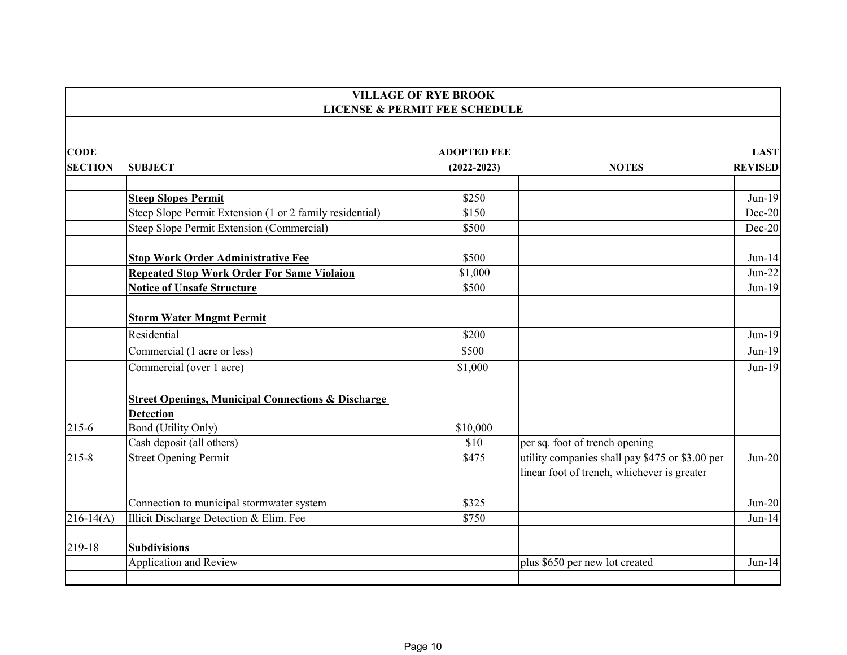|                | <b>VILLAGE OF RYE BROOK</b><br><b>LICENSE &amp; PERMIT FEE SCHEDULE</b> |                    |                                                 |                |  |
|----------------|-------------------------------------------------------------------------|--------------------|-------------------------------------------------|----------------|--|
|                |                                                                         |                    |                                                 |                |  |
| <b>CODE</b>    |                                                                         | <b>ADOPTED FEE</b> |                                                 | <b>LAST</b>    |  |
| <b>SECTION</b> | <b>SUBJECT</b>                                                          | $(2022 - 2023)$    | <b>NOTES</b>                                    | <b>REVISED</b> |  |
|                | <b>Steep Slopes Permit</b>                                              | \$250              |                                                 | $Jun-19$       |  |
|                | Steep Slope Permit Extension (1 or 2 family residential)                | \$150              |                                                 | $Dec-20$       |  |
|                | Steep Slope Permit Extension (Commercial)                               | \$500              |                                                 | $Dec-20$       |  |
|                |                                                                         |                    |                                                 |                |  |
|                | <b>Stop Work Order Administrative Fee</b>                               | \$500              |                                                 | $Jun-14$       |  |
|                | <b>Repeated Stop Work Order For Same Violaion</b>                       | \$1,000            |                                                 | $Jun-22$       |  |
|                | <b>Notice of Unsafe Structure</b>                                       | \$500              |                                                 | $Jun-19$       |  |
|                |                                                                         |                    |                                                 |                |  |
|                | <b>Storm Water Mngmt Permit</b>                                         |                    |                                                 |                |  |
|                | Residential                                                             | \$200              |                                                 | $Jun-19$       |  |
|                | Commercial (1 acre or less)                                             | \$500              |                                                 | $Jun-19$       |  |
|                | Commercial (over 1 acre)                                                | \$1,000            |                                                 | $Jun-19$       |  |
|                | <b>Street Openings, Municipal Connections &amp; Discharge</b>           |                    |                                                 |                |  |
|                | <b>Detection</b>                                                        |                    |                                                 |                |  |
| $215-6$        | <b>Bond (Utility Only)</b>                                              | \$10,000           |                                                 |                |  |
|                | Cash deposit (all others)                                               | \$10               | per sq. foot of trench opening                  |                |  |
| 215-8          | <b>Street Opening Permit</b>                                            | \$475              | utility companies shall pay \$475 or \$3.00 per | $Jun-20$       |  |
|                |                                                                         |                    | linear foot of trench, whichever is greater     |                |  |
|                | Connection to municipal stormwater system                               | \$325              |                                                 | $Jun-20$       |  |
| $216-14(A)$    | Illicit Discharge Detection & Elim. Fee                                 | \$750              |                                                 | $Jun-14$       |  |
| 219-18         | <b>Subdivisions</b>                                                     |                    |                                                 |                |  |
|                | <b>Application and Review</b>                                           |                    | plus \$650 per new lot created                  | $Jun-14$       |  |
|                |                                                                         |                    |                                                 |                |  |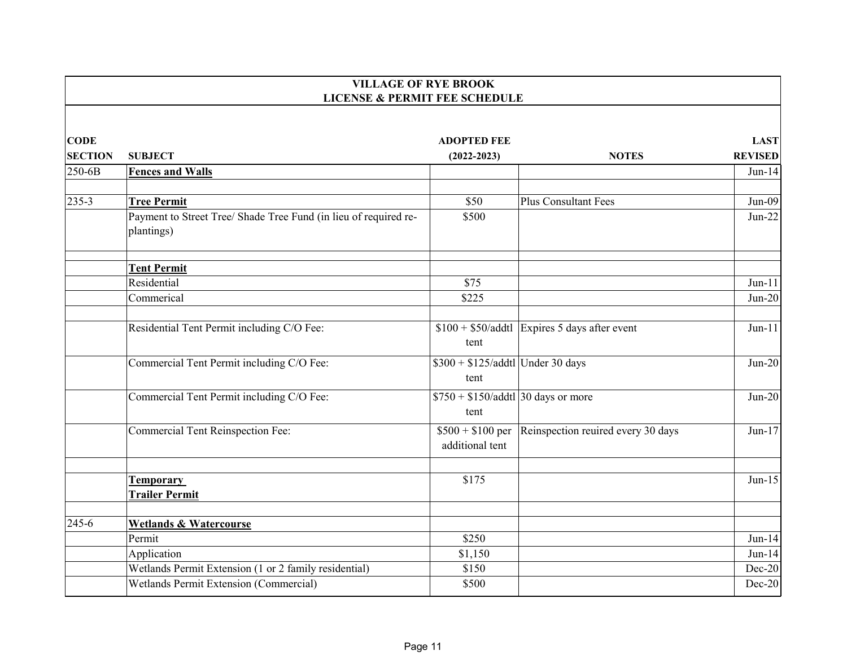|                | <b>VILLAGE OF RYE BROOK</b><br><b>LICENSE &amp; PERMIT FEE SCHEDULE</b>        |                                                  |                                                |                |  |
|----------------|--------------------------------------------------------------------------------|--------------------------------------------------|------------------------------------------------|----------------|--|
|                |                                                                                |                                                  |                                                |                |  |
| <b>CODE</b>    |                                                                                | <b>ADOPTED FEE</b>                               |                                                | <b>LAST</b>    |  |
| <b>SECTION</b> | <b>SUBJECT</b>                                                                 | $(2022 - 2023)$                                  | <b>NOTES</b>                                   | <b>REVISED</b> |  |
| 250-6B         | <b>Fences and Walls</b>                                                        |                                                  |                                                | $Jun-14$       |  |
| $235 - 3$      | <b>Tree Permit</b>                                                             | \$50                                             | <b>Plus Consultant Fees</b>                    | $Jun-09$       |  |
|                | Payment to Street Tree/ Shade Tree Fund (in lieu of required re-<br>plantings) | \$500                                            |                                                | $Jun-22$       |  |
|                | <b>Tent Permit</b>                                                             |                                                  |                                                |                |  |
|                | Residential                                                                    | \$75                                             |                                                | $Jun-11$       |  |
|                | Commerical                                                                     | \$225                                            |                                                | $Jun-20$       |  |
|                | Residential Tent Permit including C/O Fee:                                     | tent                                             | $$100 + $50$ /addtl Expires 5 days after event | $Jun-11$       |  |
|                | Commercial Tent Permit including C/O Fee:                                      | $$300 + $125/\text{addtl}$ Under 30 days<br>tent |                                                | $Jun-20$       |  |
|                | Commercial Tent Permit including C/O Fee:                                      | $$750 + $150$ /addtl 30 days or more<br>tent     |                                                | $Jun-20$       |  |
|                | <b>Commercial Tent Reinspection Fee:</b>                                       | $$500 + $100$ per<br>additional tent             | Reinspection reuired every 30 days             | $Jun-17$       |  |
|                | <b>Temporary</b><br><b>Trailer Permit</b>                                      | \$175                                            |                                                | $Jun-15$       |  |
| 245-6          | <b>Wetlands &amp; Watercourse</b>                                              |                                                  |                                                |                |  |
|                | Permit                                                                         | \$250                                            |                                                | $Jun-14$       |  |
|                | Application                                                                    | \$1,150                                          |                                                | $Jun-14$       |  |
|                | Wetlands Permit Extension (1 or 2 family residential)                          | \$150                                            |                                                | Dec-20         |  |
|                | Wetlands Permit Extension (Commercial)                                         | \$500                                            |                                                | $Dec-20$       |  |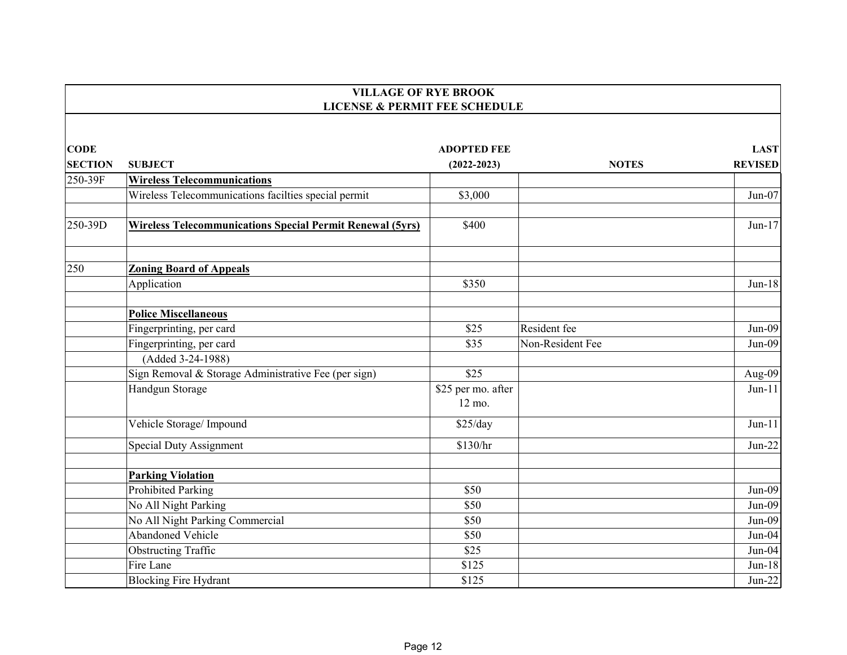|                | <b>VILLAGE OF RYE BROOK</b><br><b>LICENSE &amp; PERMIT FEE SCHEDULE</b> |                              |                  |                |  |
|----------------|-------------------------------------------------------------------------|------------------------------|------------------|----------------|--|
|                |                                                                         |                              |                  |                |  |
| <b>CODE</b>    |                                                                         | <b>ADOPTED FEE</b>           |                  | <b>LAST</b>    |  |
| <b>SECTION</b> | <b>SUBJECT</b>                                                          | $(2022 - 2023)$              | <b>NOTES</b>     | <b>REVISED</b> |  |
| 250-39F        | <b>Wireless Telecommunications</b>                                      |                              |                  |                |  |
|                | Wireless Telecommunications facilties special permit                    | \$3,000                      |                  | $Jun-07$       |  |
| 250-39D        | <b>Wireless Telecommunications Special Permit Renewal (5yrs)</b>        | \$400                        |                  | $Jun-17$       |  |
| 250            | <b>Zoning Board of Appeals</b>                                          |                              |                  |                |  |
|                | Application                                                             | \$350                        |                  | $Jun-18$       |  |
|                | <b>Police Miscellaneous</b>                                             |                              |                  |                |  |
|                | Fingerprinting, per card                                                | \$25                         | Resident fee     | $Jun-09$       |  |
|                | Fingerprinting, per card                                                | \$35                         | Non-Resident Fee | $Jun-09$       |  |
|                | (Added 3-24-1988)                                                       |                              |                  |                |  |
|                | Sign Removal & Storage Administrative Fee (per sign)                    | \$25                         |                  | Aug-09         |  |
|                | Handgun Storage                                                         | \$25 per mo. after<br>12 mo. |                  | $Jun-11$       |  |
|                | Vehicle Storage/Impound                                                 | \$25/day                     |                  | $Jun-11$       |  |
|                | Special Duty Assignment                                                 | \$130/hr                     |                  | $Jun-22$       |  |
|                | <b>Parking Violation</b>                                                |                              |                  |                |  |
|                | <b>Prohibited Parking</b>                                               | \$50                         |                  | $Jun-09$       |  |
|                | No All Night Parking                                                    | \$50                         |                  | $Jun-09$       |  |
|                | No All Night Parking Commercial                                         | \$50                         |                  | $Jun-09$       |  |
|                | Abandoned Vehicle                                                       | \$50                         |                  | Jun-04         |  |
|                | <b>Obstructing Traffic</b>                                              | \$25                         |                  | Jun-04         |  |
|                | Fire Lane                                                               | \$125                        |                  | $Jun-18$       |  |
|                | <b>Blocking Fire Hydrant</b>                                            | \$125                        |                  | $Jun-22$       |  |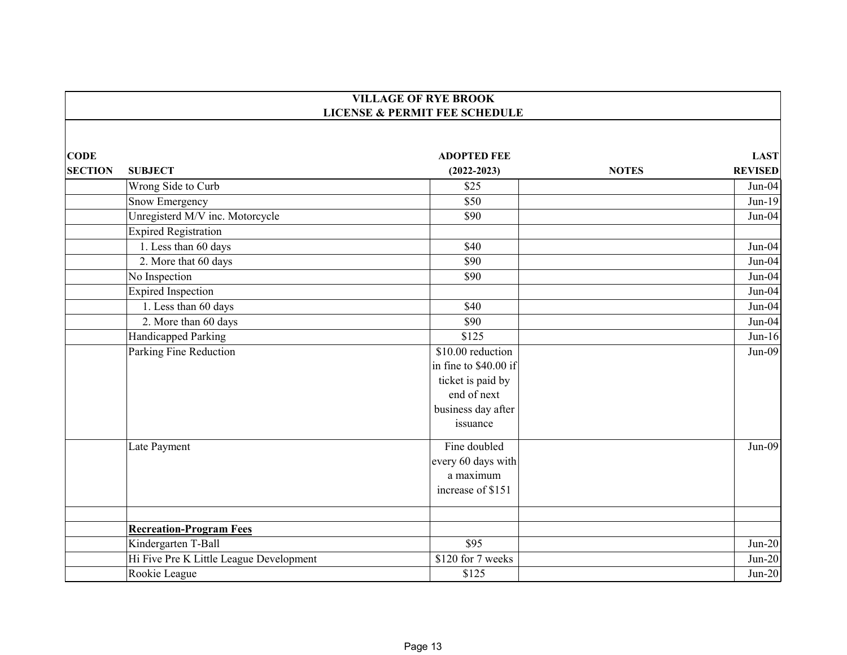|                | <b>VILLAGE OF RYE BROOK</b><br><b>LICENSE &amp; PERMIT FEE SCHEDULE</b> |                       |              |                |
|----------------|-------------------------------------------------------------------------|-----------------------|--------------|----------------|
|                |                                                                         |                       |              |                |
| <b>CODE</b>    |                                                                         | <b>ADOPTED FEE</b>    |              | <b>LAST</b>    |
| <b>SECTION</b> | <b>SUBJECT</b>                                                          | $(2022 - 2023)$       | <b>NOTES</b> | <b>REVISED</b> |
|                | Wrong Side to Curb                                                      | \$25                  |              | $Jun-04$       |
|                | Snow Emergency                                                          | \$50                  |              | $Jun-19$       |
|                | Unregisterd M/V inc. Motorcycle                                         | \$90                  |              | $Jun-04$       |
|                | <b>Expired Registration</b>                                             |                       |              |                |
|                | 1. Less than 60 days                                                    | \$40                  |              | $Jun-04$       |
|                | 2. More that 60 days                                                    | \$90                  |              | $Jun-04$       |
|                | No Inspection                                                           | \$90                  |              | $Jun-04$       |
|                | <b>Expired Inspection</b>                                               |                       |              | $Jun-04$       |
|                | 1. Less than 60 days                                                    | \$40                  |              | $Jun-04$       |
|                | 2. More than 60 days                                                    | \$90                  |              | $Jun-04$       |
|                | Handicapped Parking                                                     | \$125                 |              | $Jun-16$       |
|                | Parking Fine Reduction                                                  | \$10.00 reduction     |              | $Jun-09$       |
|                |                                                                         | in fine to \$40.00 if |              |                |
|                |                                                                         | ticket is paid by     |              |                |
|                |                                                                         | end of next           |              |                |
|                |                                                                         | business day after    |              |                |
|                |                                                                         | issuance              |              |                |
|                | Late Payment                                                            | Fine doubled          |              | $Jun-09$       |
|                |                                                                         | every 60 days with    |              |                |
|                |                                                                         | a maximum             |              |                |
|                |                                                                         | increase of \$151     |              |                |
|                |                                                                         |                       |              |                |
|                | <b>Recreation-Program Fees</b>                                          |                       |              |                |
|                | Kindergarten T-Ball                                                     | \$95                  |              | $Jun-20$       |
|                | Hi Five Pre K Little League Development                                 | \$120 for 7 weeks     |              | $Jun-20$       |
|                | Rookie League                                                           | \$125                 |              | $Jun-20$       |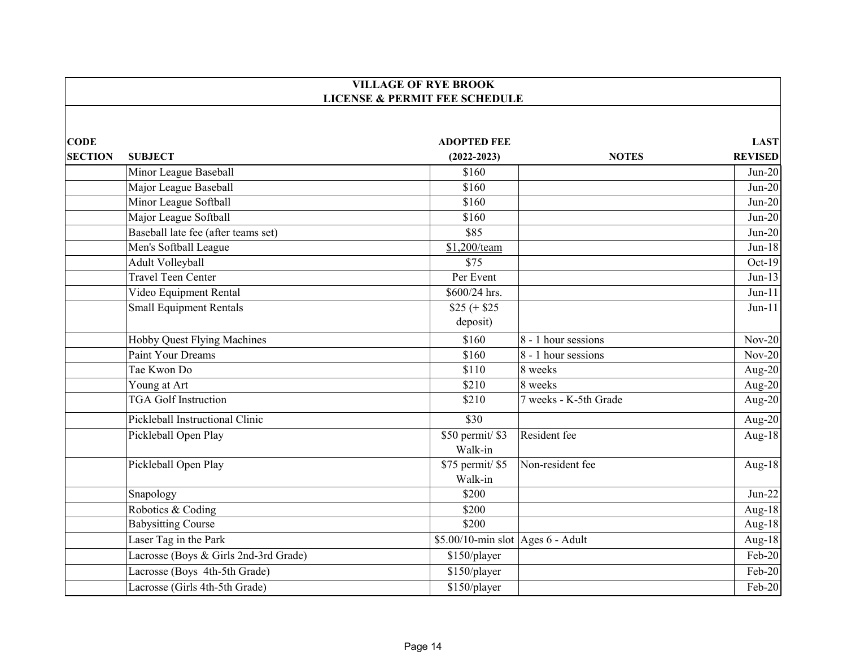|                |                                       | <b>VILLAGE OF RYE BROOK</b>              |                       |                |
|----------------|---------------------------------------|------------------------------------------|-----------------------|----------------|
|                |                                       | <b>LICENSE &amp; PERMIT FEE SCHEDULE</b> |                       |                |
|                |                                       |                                          |                       |                |
| <b>CODE</b>    |                                       | <b>ADOPTED FEE</b>                       |                       | <b>LAST</b>    |
| <b>SECTION</b> | <b>SUBJECT</b>                        | $(2022 - 2023)$                          | <b>NOTES</b>          | <b>REVISED</b> |
|                | Minor League Baseball                 | \$160                                    |                       | $Jun-20$       |
|                | Major League Baseball                 | \$160                                    |                       | $Jun-20$       |
|                | Minor League Softball                 | \$160                                    |                       | $Jun-20$       |
|                | Major League Softball                 | \$160                                    |                       | $Jun-20$       |
|                | Baseball late fee (after teams set)   | \$85                                     |                       | $Jun-20$       |
|                | Men's Softball League                 | \$1,200/team                             |                       | $Jun-18$       |
|                | Adult Volleyball                      | \$75                                     |                       | Oct-19         |
|                | Travel Teen Center                    | Per Event                                |                       | $Jun-13$       |
|                | Video Equipment Rental                | \$600/24 hrs.                            |                       | $Jun-11$       |
|                | <b>Small Equipment Rentals</b>        | $$25 (+ $25$                             |                       | $Jun-11$       |
|                |                                       | deposit)                                 |                       |                |
|                | Hobby Quest Flying Machines           | \$160                                    | 8 - 1 hour sessions   | $Nov-20$       |
|                | <b>Paint Your Dreams</b>              | \$160                                    | 8 - 1 hour sessions   | $Nov-20$       |
|                | Tae Kwon Do                           | \$110                                    | 8 weeks               | Aug-20         |
|                | Young at Art                          | \$210                                    | 8 weeks               | Aug-20         |
|                | <b>TGA Golf Instruction</b>           | \$210                                    | 7 weeks - K-5th Grade | Aug-20         |
|                | Pickleball Instructional Clinic       | \$30                                     |                       | Aug-20         |
|                | Pickleball Open Play                  | \$50 permit/ \$3                         | Resident fee          | Aug-18         |
|                |                                       | Walk-in                                  |                       |                |
|                | Pickleball Open Play                  | \$75 permit/\$5                          | Non-resident fee      | Aug-18         |
|                |                                       | Walk-in                                  |                       |                |
|                | Snapology                             | \$200                                    |                       | $Jun-22$       |
|                | Robotics & Coding                     | \$200                                    |                       | Aug-18         |
|                | <b>Babysitting Course</b>             | \$200                                    |                       | Aug-18         |
|                | Laser Tag in the Park                 | $$5.00/10$ -min slot Ages 6 - Adult      |                       | Aug-18         |
|                | Lacrosse (Boys & Girls 2nd-3rd Grade) | \$150/player                             |                       | Feb-20         |
|                | Lacrosse (Boys 4th-5th Grade)         | \$150/player                             |                       | Feb-20         |
|                | Lacrosse (Girls 4th-5th Grade)        | \$150/player                             |                       | Feb-20         |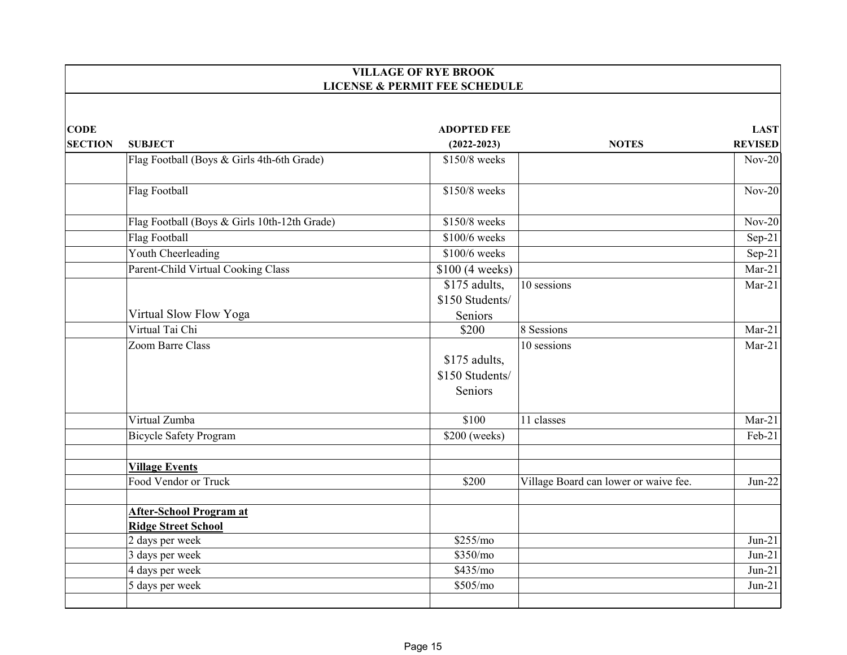|                |                                              | <b>VILLAGE OF RYE BROOK</b>                 |                                       |                |
|----------------|----------------------------------------------|---------------------------------------------|---------------------------------------|----------------|
|                |                                              | <b>LICENSE &amp; PERMIT FEE SCHEDULE</b>    |                                       |                |
| <b>CODE</b>    |                                              | <b>ADOPTED FEE</b>                          |                                       | <b>LAST</b>    |
| <b>SECTION</b> | <b>SUBJECT</b>                               | $(2022 - 2023)$                             | <b>NOTES</b>                          | <b>REVISED</b> |
|                | Flag Football (Boys & Girls 4th-6th Grade)   | \$150/8 weeks                               |                                       | $Nov-20$       |
|                | Flag Football                                | \$150/8 weeks                               |                                       | $Nov-20$       |
|                | Flag Football (Boys & Girls 10th-12th Grade) | \$150/8 weeks                               |                                       | $Nov-20$       |
|                | Flag Football                                | \$100/6 weeks                               |                                       | $Sep-21$       |
|                | Youth Cheerleading                           | \$100/6 weeks                               |                                       | $Sep-21$       |
|                | Parent-Child Virtual Cooking Class           | \$100 (4 weeks)                             |                                       | $Mar-21$       |
|                |                                              | \$175 adults,                               | 10 sessions                           | $Mar-21$       |
|                |                                              | \$150 Students/                             |                                       |                |
|                | Virtual Slow Flow Yoga                       | Seniors                                     |                                       |                |
|                | Virtual Tai Chi                              | \$200                                       | 8 Sessions                            | $Mar-21$       |
|                | Zoom Barre Class                             | \$175 adults,<br>\$150 Students/<br>Seniors | 10 sessions                           | $Mar-21$       |
|                | Virtual Zumba                                | \$100                                       | 11 classes                            | $Mar-21$       |
|                | <b>Bicycle Safety Program</b>                | \$200 (weeks)                               |                                       | Feb-21         |
|                | <b>Village Events</b>                        |                                             |                                       |                |
|                | Food Vendor or Truck                         | \$200                                       | Village Board can lower or waive fee. | $Jun-22$       |
|                | After-School Program at                      |                                             |                                       |                |
|                | <b>Ridge Street School</b>                   |                                             |                                       |                |
|                | 2 days per week                              | \$255/mo                                    |                                       | $Jun-21$       |
|                | 3 days per week                              | \$350/mo                                    |                                       | $Jun-21$       |
|                | 4 days per week                              | \$435/mo                                    |                                       | $Jun-21$       |
|                | 5 days per week                              | \$505/mo                                    |                                       | $Jun-21$       |
|                |                                              |                                             |                                       |                |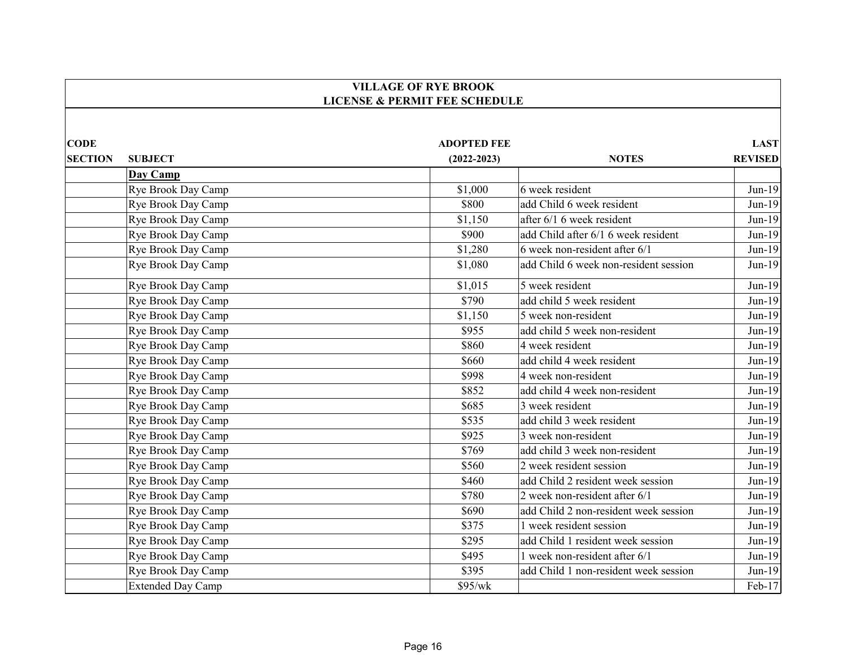|                |                          | <b>VILLAGE OF RYE BROOK</b>              |                                       |                |
|----------------|--------------------------|------------------------------------------|---------------------------------------|----------------|
|                |                          | <b>LICENSE &amp; PERMIT FEE SCHEDULE</b> |                                       |                |
|                |                          |                                          |                                       |                |
| <b>CODE</b>    |                          | <b>ADOPTED FEE</b>                       |                                       | <b>LAST</b>    |
| <b>SECTION</b> | <b>SUBJECT</b>           | $(2022 - 2023)$                          | <b>NOTES</b>                          | <b>REVISED</b> |
|                | Day Camp                 |                                          |                                       |                |
|                | Rye Brook Day Camp       | \$1,000                                  | 6 week resident                       | $Jun-19$       |
|                | Rye Brook Day Camp       | \$800                                    | add Child 6 week resident             | $Jun-19$       |
|                | Rye Brook Day Camp       | \$1,150                                  | after 6/1 6 week resident             | $Jun-19$       |
|                | Rye Brook Day Camp       | \$900                                    | add Child after 6/1 6 week resident   | $Jun-19$       |
|                | Rye Brook Day Camp       | \$1,280                                  | 6 week non-resident after 6/1         | $Jun-19$       |
|                | Rye Brook Day Camp       | \$1,080                                  | add Child 6 week non-resident session | $Jun-19$       |
|                | Rye Brook Day Camp       | \$1,015                                  | 5 week resident                       | $Jun-19$       |
|                | Rye Brook Day Camp       | \$790                                    | add child 5 week resident             | $Jun-19$       |
|                | Rye Brook Day Camp       | \$1,150                                  | 5 week non-resident                   | $Jun-19$       |
|                | Rye Brook Day Camp       | \$955                                    | add child 5 week non-resident         | $Jun-19$       |
|                | Rye Brook Day Camp       | \$860                                    | 4 week resident                       | $Jun-19$       |
|                | Rye Brook Day Camp       | \$660                                    | add child 4 week resident             | $Jun-19$       |
|                | Rye Brook Day Camp       | \$998                                    | 4 week non-resident                   | $Jun-19$       |
|                | Rye Brook Day Camp       | \$852                                    | add child 4 week non-resident         | $Jun-19$       |
|                | Rye Brook Day Camp       | \$685                                    | 3 week resident                       | $Jun-19$       |
|                | Rye Brook Day Camp       | \$535                                    | add child 3 week resident             | $Jun-19$       |
|                | Rye Brook Day Camp       | \$925                                    | 3 week non-resident                   | $Jun-19$       |
|                | Rye Brook Day Camp       | \$769                                    | add child 3 week non-resident         | $Jun-19$       |
|                | Rye Brook Day Camp       | \$560                                    | 2 week resident session               | $Jun-19$       |
|                | Rye Brook Day Camp       | \$460                                    | add Child 2 resident week session     | $Jun-19$       |
|                | Rye Brook Day Camp       | \$780                                    | 2 week non-resident after 6/1         | $Jun-19$       |
|                | Rye Brook Day Camp       | \$690                                    | add Child 2 non-resident week session | $Jun-19$       |
|                | Rye Brook Day Camp       | \$375                                    | 1 week resident session               | $Jun-19$       |
|                | Rye Brook Day Camp       | \$295                                    | add Child 1 resident week session     | $Jun-19$       |
|                | Rye Brook Day Camp       | \$495                                    | 1 week non-resident after 6/1         | $Jun-19$       |
|                | Rye Brook Day Camp       | \$395                                    | add Child 1 non-resident week session | $Jun-19$       |
|                | <b>Extended Day Camp</b> | \$95/wk                                  |                                       | Feb-17         |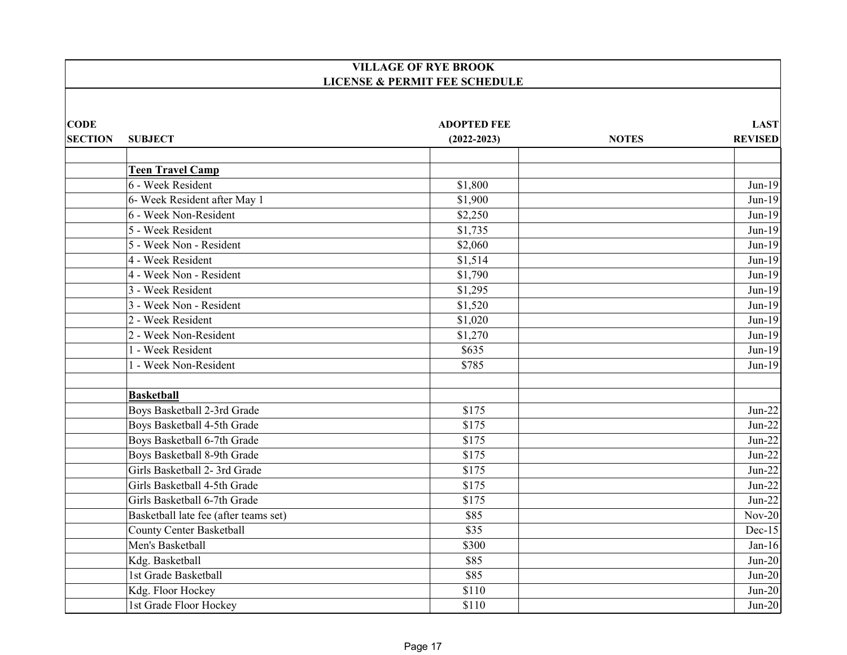|                |                                       | <b>VILLAGE OF RYE BROOK</b>              |              |                |
|----------------|---------------------------------------|------------------------------------------|--------------|----------------|
|                |                                       | <b>LICENSE &amp; PERMIT FEE SCHEDULE</b> |              |                |
| <b>CODE</b>    |                                       | <b>ADOPTED FEE</b>                       |              | <b>LAST</b>    |
| <b>SECTION</b> | <b>SUBJECT</b>                        | $(2022 - 2023)$                          | <b>NOTES</b> | <b>REVISED</b> |
|                | <b>Teen Travel Camp</b>               |                                          |              |                |
|                | 6 - Week Resident                     | \$1,800                                  |              | $Jun-19$       |
|                | 6- Week Resident after May 1          | \$1,900                                  |              | Jun-19         |
|                | 6 - Week Non-Resident                 | \$2,250                                  |              | $Jun-19$       |
|                | 5 - Week Resident                     | \$1,735                                  |              | $Jun-19$       |
|                | 5 - Week Non - Resident               | \$2,060                                  |              | $Jun-19$       |
|                | 4 - Week Resident                     | \$1,514                                  |              | $Jun-19$       |
|                | 4 - Week Non - Resident               | \$1,790                                  |              | $Jun-19$       |
|                | 3 - Week Resident                     | \$1,295                                  |              | $Jun-19$       |
|                | 3 - Week Non - Resident               | \$1,520                                  |              | $Jun-19$       |
|                | 2 - Week Resident                     | \$1,020                                  |              | $Jun-19$       |
|                | 2 - Week Non-Resident                 | \$1,270                                  |              | $Jun-19$       |
|                | 1 - Week Resident                     | \$635                                    |              | $Jun-19$       |
|                | 1 - Week Non-Resident                 | \$785                                    |              | $Jun-19$       |
|                | <b>Basketball</b>                     |                                          |              |                |
|                | Boys Basketball 2-3rd Grade           | \$175                                    |              | $Jun-22$       |
|                | Boys Basketball 4-5th Grade           | \$175                                    |              | $Jun-22$       |
|                | Boys Basketball 6-7th Grade           | \$175                                    |              | $Jun-22$       |
|                | Boys Basketball 8-9th Grade           | \$175                                    |              | $Jun-22$       |
|                | Girls Basketball 2- 3rd Grade         | \$175                                    |              | $Jun-22$       |
|                | Girls Basketball 4-5th Grade          | \$175                                    |              | $Jun-22$       |
|                | Girls Basketball 6-7th Grade          | \$175                                    |              | $Jun-22$       |
|                | Basketball late fee (after teams set) | \$85                                     |              | $Nov-20$       |
|                | <b>County Center Basketball</b>       | $\overline{$35}$                         |              | $Dec-15$       |
|                | Men's Basketball                      | \$300                                    |              | $Jan-16$       |
|                | Kdg. Basketball                       | \$85                                     |              | $Jun-20$       |
|                | 1st Grade Basketball                  | \$85                                     |              | $Jun-20$       |
|                | Kdg. Floor Hockey                     | \$110                                    |              | $Jun-20$       |
|                | 1st Grade Floor Hockey                | \$110                                    |              | $Jun-20$       |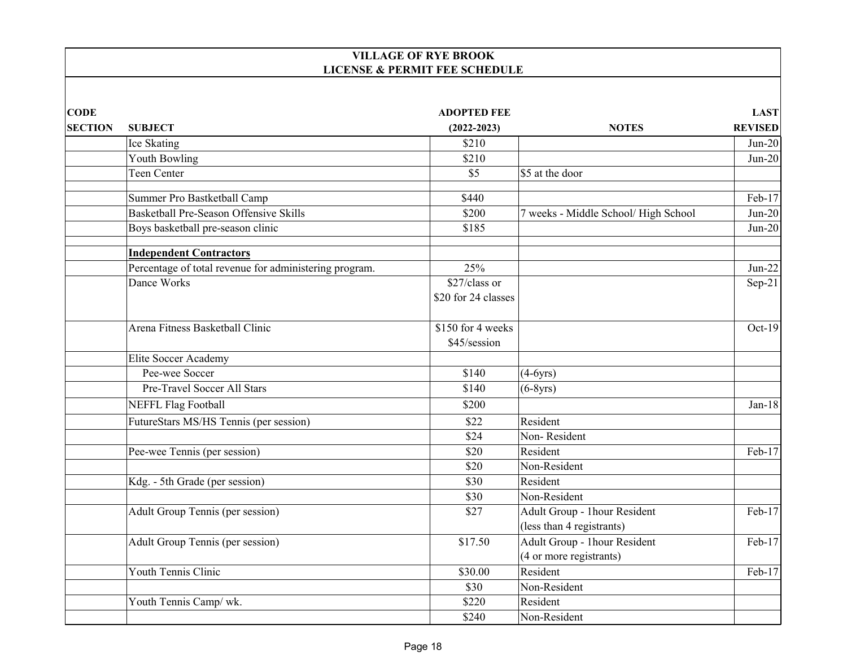## **VILLAGE OF RYE BROOK LICENSE & PERMIT FEE SCHEDULE**

| <b>CODE</b>    |                                                        | <b>ADOPTED FEE</b>  |                                      | <b>LAST</b>    |
|----------------|--------------------------------------------------------|---------------------|--------------------------------------|----------------|
| <b>SECTION</b> | <b>SUBJECT</b>                                         | $(2022 - 2023)$     | <b>NOTES</b>                         | <b>REVISED</b> |
|                | Ice Skating                                            | \$210               |                                      | $Jun-20$       |
|                | Youth Bowling                                          | \$210               |                                      | $Jun-20$       |
|                | Teen Center                                            | \$5                 | \$5 at the door                      |                |
|                | Summer Pro Bastketball Camp                            | \$440               |                                      | Feb-17         |
|                | <b>Basketball Pre-Season Offensive Skills</b>          | \$200               | 7 weeks - Middle School/ High School | $Jun-20$       |
|                | Boys basketball pre-season clinic                      | \$185               |                                      | $Jun-20$       |
|                | <b>Independent Contractors</b>                         |                     |                                      |                |
|                | Percentage of total revenue for administering program. | 25%                 |                                      | $Jun-22$       |
|                | Dance Works                                            | \$27/class or       |                                      | $Sep-21$       |
|                |                                                        | \$20 for 24 classes |                                      |                |
|                | Arena Fitness Basketball Clinic                        | \$150 for 4 weeks   |                                      | $Oct-19$       |
|                |                                                        | \$45/session        |                                      |                |
|                | Elite Soccer Academy                                   |                     |                                      |                |
|                | Pee-wee Soccer                                         | \$140               | $(4-6yrs)$                           |                |
|                | Pre-Travel Soccer All Stars                            | \$140               | $(6-8yrs)$                           |                |
|                | <b>NEFFL Flag Football</b>                             | \$200               |                                      | $Jan-18$       |
|                | FutureStars MS/HS Tennis (per session)                 | \$22                | Resident                             |                |
|                |                                                        | \$24                | Non-Resident                         |                |
|                | Pee-wee Tennis (per session)                           | \$20                | Resident                             | $Feb-17$       |
|                |                                                        | \$20                | Non-Resident                         |                |
|                | Kdg. - 5th Grade (per session)                         | \$30                | Resident                             |                |
|                |                                                        | \$30                | Non-Resident                         |                |
|                | Adult Group Tennis (per session)                       | \$27                | Adult Group - 1hour Resident         | Feb-17         |
|                |                                                        |                     | (less than 4 registrants)            |                |
|                | Adult Group Tennis (per session)                       | \$17.50             | Adult Group - 1hour Resident         | Feb-17         |
|                |                                                        |                     | (4 or more registrants)              |                |
|                | Youth Tennis Clinic                                    | \$30.00             | Resident                             | Feb-17         |
|                |                                                        | \$30                | Non-Resident                         |                |
|                | Youth Tennis Camp/ wk.                                 | \$220               | Resident                             |                |
|                |                                                        | \$240               | Non-Resident                         |                |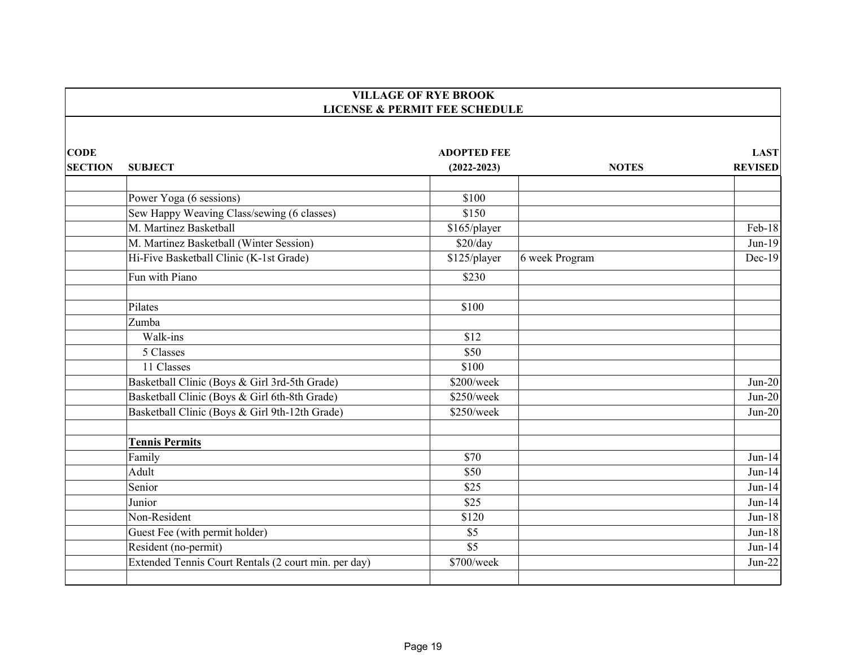|                               |                                                      | <b>VILLAGE OF RYE BROOK</b><br><b>LICENSE &amp; PERMIT FEE SCHEDULE</b> |                |                               |
|-------------------------------|------------------------------------------------------|-------------------------------------------------------------------------|----------------|-------------------------------|
|                               |                                                      |                                                                         |                |                               |
| <b>CODE</b><br><b>SECTION</b> | <b>SUBJECT</b>                                       | <b>ADOPTED FEE</b><br>$(2022 - 2023)$                                   | <b>NOTES</b>   | <b>LAST</b><br><b>REVISED</b> |
|                               |                                                      |                                                                         |                |                               |
|                               | Power Yoga (6 sessions)                              | \$100                                                                   |                |                               |
|                               | Sew Happy Weaving Class/sewing (6 classes)           | \$150                                                                   |                |                               |
|                               | M. Martinez Basketball                               | \$165/player                                                            |                | Feb-18                        |
|                               | M. Martinez Basketball (Winter Session)              | \$20/day                                                                |                | $Jun-19$                      |
|                               | Hi-Five Basketball Clinic (K-1st Grade)              | \$125/player                                                            | 6 week Program | $Dec-19$                      |
|                               | Fun with Piano                                       | \$230                                                                   |                |                               |
|                               | Pilates                                              | \$100                                                                   |                |                               |
|                               | Zumba                                                |                                                                         |                |                               |
|                               | Walk-ins                                             | \$12                                                                    |                |                               |
|                               | 5 Classes                                            | \$50                                                                    |                |                               |
|                               | 11 Classes                                           | \$100                                                                   |                |                               |
|                               | Basketball Clinic (Boys & Girl 3rd-5th Grade)        | \$200/week                                                              |                | $Jun-20$                      |
|                               | Basketball Clinic (Boys & Girl 6th-8th Grade)        | \$250/week                                                              |                | $Jun-20$                      |
|                               | Basketball Clinic (Boys & Girl 9th-12th Grade)       | \$250/week                                                              |                | $Jun-20$                      |
|                               | <b>Tennis Permits</b>                                |                                                                         |                |                               |
|                               | Family                                               | \$70                                                                    |                | $Jun-14$                      |
|                               | Adult                                                | \$50                                                                    |                | $Jun-14$                      |
|                               | Senior                                               | \$25                                                                    |                | $Jun-14$                      |
|                               | Junior                                               | \$25                                                                    |                | $Jun-14$                      |
|                               | Non-Resident                                         | \$120                                                                   |                | $Jun-18$                      |
|                               | Guest Fee (with permit holder)                       | \$5                                                                     |                | $Jun-18$                      |
|                               | Resident (no-permit)                                 | \$5                                                                     |                | $Jun-14$                      |
|                               | Extended Tennis Court Rentals (2 court min. per day) | \$700/week                                                              |                | $Jun-22$                      |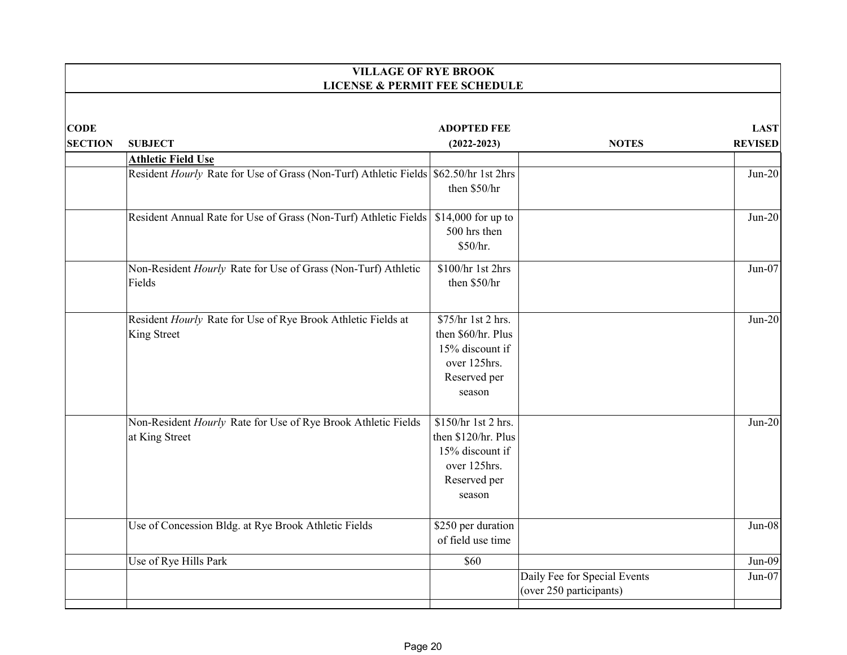|                | <b>VILLAGE OF RYE BROOK</b><br><b>LICENSE &amp; PERMIT FEE SCHEDULE</b>              |                     |                              |                |  |
|----------------|--------------------------------------------------------------------------------------|---------------------|------------------------------|----------------|--|
|                |                                                                                      |                     |                              |                |  |
| <b>CODE</b>    |                                                                                      | <b>ADOPTED FEE</b>  |                              | <b>LAST</b>    |  |
| <b>SECTION</b> | <b>SUBJECT</b>                                                                       | $(2022 - 2023)$     | <b>NOTES</b>                 | <b>REVISED</b> |  |
|                | <b>Athletic Field Use</b>                                                            |                     |                              |                |  |
|                | Resident Hourly Rate for Use of Grass (Non-Turf) Athletic Fields \$62.50/hr 1st 2hrs | then \$50/hr        |                              | $Jun-20$       |  |
|                | Resident Annual Rate for Use of Grass (Non-Turf) Athletic Fields                     | $$14,000$ for up to |                              | $Jun-20$       |  |
|                |                                                                                      | 500 hrs then        |                              |                |  |
|                |                                                                                      | \$50/hr.            |                              |                |  |
|                | Non-Resident Hourly Rate for Use of Grass (Non-Turf) Athletic                        | \$100/hr 1st 2hrs   |                              | $Jun-07$       |  |
|                | Fields                                                                               | then \$50/hr        |                              |                |  |
|                |                                                                                      |                     |                              |                |  |
|                | Resident Hourly Rate for Use of Rye Brook Athletic Fields at                         | \$75/hr 1st 2 hrs.  |                              | $Jun-20$       |  |
|                | King Street                                                                          | then \$60/hr. Plus  |                              |                |  |
|                |                                                                                      | 15% discount if     |                              |                |  |
|                |                                                                                      | over 125hrs.        |                              |                |  |
|                |                                                                                      | Reserved per        |                              |                |  |
|                |                                                                                      | season              |                              |                |  |
|                | Non-Resident Hourly Rate for Use of Rye Brook Athletic Fields                        | \$150/hr 1st 2 hrs. |                              | $Jun-20$       |  |
|                | at King Street                                                                       | then \$120/hr. Plus |                              |                |  |
|                |                                                                                      | 15% discount if     |                              |                |  |
|                |                                                                                      | over 125hrs.        |                              |                |  |
|                |                                                                                      | Reserved per        |                              |                |  |
|                |                                                                                      | season              |                              |                |  |
|                | Use of Concession Bldg. at Rye Brook Athletic Fields                                 | \$250 per duration  |                              | $Jun-08$       |  |
|                |                                                                                      | of field use time   |                              |                |  |
|                | Use of Rye Hills Park                                                                | \$60                |                              | $Jun-09$       |  |
|                |                                                                                      |                     | Daily Fee for Special Events | $Jun-07$       |  |
|                |                                                                                      |                     | (over 250 participants)      |                |  |
|                |                                                                                      |                     |                              |                |  |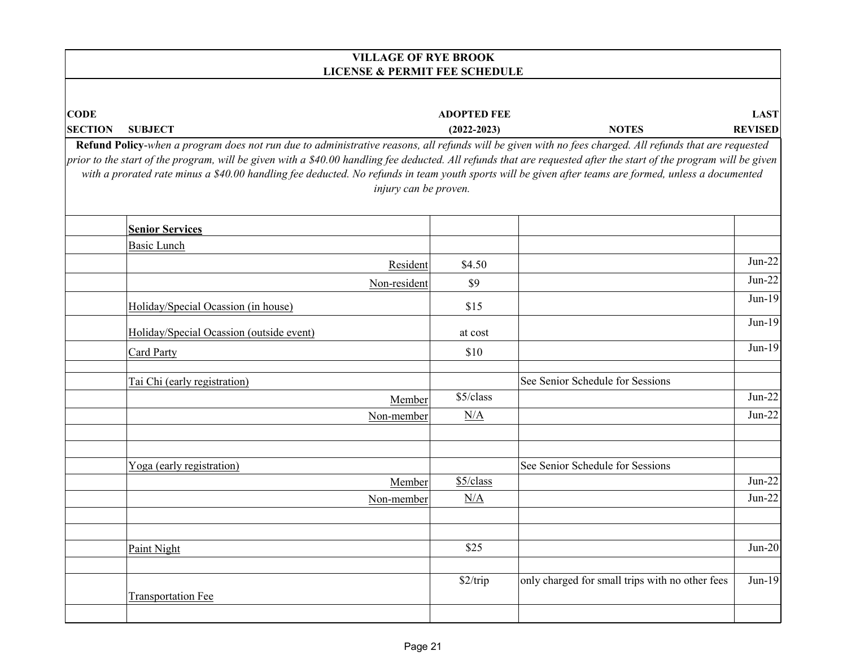|                | <b>VILLAGE OF RYE BROOK</b><br><b>LICENSE &amp; PERMIT FEE SCHEDULE</b>                                                                                                                                                                                                                                                                                                                                                                                                                                         |                    |                                                 |                |  |
|----------------|-----------------------------------------------------------------------------------------------------------------------------------------------------------------------------------------------------------------------------------------------------------------------------------------------------------------------------------------------------------------------------------------------------------------------------------------------------------------------------------------------------------------|--------------------|-------------------------------------------------|----------------|--|
|                |                                                                                                                                                                                                                                                                                                                                                                                                                                                                                                                 |                    |                                                 |                |  |
| <b>CODE</b>    |                                                                                                                                                                                                                                                                                                                                                                                                                                                                                                                 | <b>ADOPTED FEE</b> |                                                 | <b>LAST</b>    |  |
| <b>SECTION</b> | <b>SUBJECT</b>                                                                                                                                                                                                                                                                                                                                                                                                                                                                                                  | $(2022 - 2023)$    | <b>NOTES</b>                                    | <b>REVISED</b> |  |
|                | Refund Policy-when a program does not run due to administrative reasons, all refunds will be given with no fees charged. All refunds that are requested<br>prior to the start of the program, will be given with a \$40.00 handling fee deducted. All refunds that are requested after the start of the program will be given<br>with a prorated rate minus a \$40.00 handling fee deducted. No refunds in team youth sports will be given after teams are formed, unless a documented<br>injury can be proven. |                    |                                                 |                |  |
|                | <b>Senior Services</b>                                                                                                                                                                                                                                                                                                                                                                                                                                                                                          |                    |                                                 |                |  |
|                | Basic Lunch                                                                                                                                                                                                                                                                                                                                                                                                                                                                                                     |                    |                                                 |                |  |
|                | Resident                                                                                                                                                                                                                                                                                                                                                                                                                                                                                                        | \$4.50             |                                                 | $Jun-22$       |  |
|                | Non-resident                                                                                                                                                                                                                                                                                                                                                                                                                                                                                                    | \$9                |                                                 | $Jun-22$       |  |
|                | Holiday/Special Ocassion (in house)                                                                                                                                                                                                                                                                                                                                                                                                                                                                             | \$15               |                                                 | $Jun-19$       |  |
|                | Holiday/Special Ocassion (outside event)                                                                                                                                                                                                                                                                                                                                                                                                                                                                        | at cost            |                                                 | $Jun-19$       |  |
|                | <b>Card Party</b>                                                                                                                                                                                                                                                                                                                                                                                                                                                                                               | \$10               |                                                 | $Jun-19$       |  |
|                | Tai Chi (early registration)                                                                                                                                                                                                                                                                                                                                                                                                                                                                                    |                    | See Senior Schedule for Sessions                |                |  |
|                | Member                                                                                                                                                                                                                                                                                                                                                                                                                                                                                                          | \$5/class          |                                                 | $Jun-22$       |  |
|                | Non-member                                                                                                                                                                                                                                                                                                                                                                                                                                                                                                      | N/A                |                                                 | $Jun-22$       |  |
|                |                                                                                                                                                                                                                                                                                                                                                                                                                                                                                                                 |                    |                                                 |                |  |
|                | Yoga (early registration)                                                                                                                                                                                                                                                                                                                                                                                                                                                                                       |                    | See Senior Schedule for Sessions                |                |  |
|                | Member                                                                                                                                                                                                                                                                                                                                                                                                                                                                                                          | \$5/class          |                                                 | $Jun-22$       |  |
|                | Non-member                                                                                                                                                                                                                                                                                                                                                                                                                                                                                                      | N/A                |                                                 | $Jun-22$       |  |
|                |                                                                                                                                                                                                                                                                                                                                                                                                                                                                                                                 |                    |                                                 | $Jun-20$       |  |
|                | Paint Night                                                                                                                                                                                                                                                                                                                                                                                                                                                                                                     | \$25               |                                                 |                |  |
|                |                                                                                                                                                                                                                                                                                                                                                                                                                                                                                                                 | \$2/trip           | only charged for small trips with no other fees | Jun-19         |  |
|                | <b>Transportation Fee</b>                                                                                                                                                                                                                                                                                                                                                                                                                                                                                       |                    |                                                 |                |  |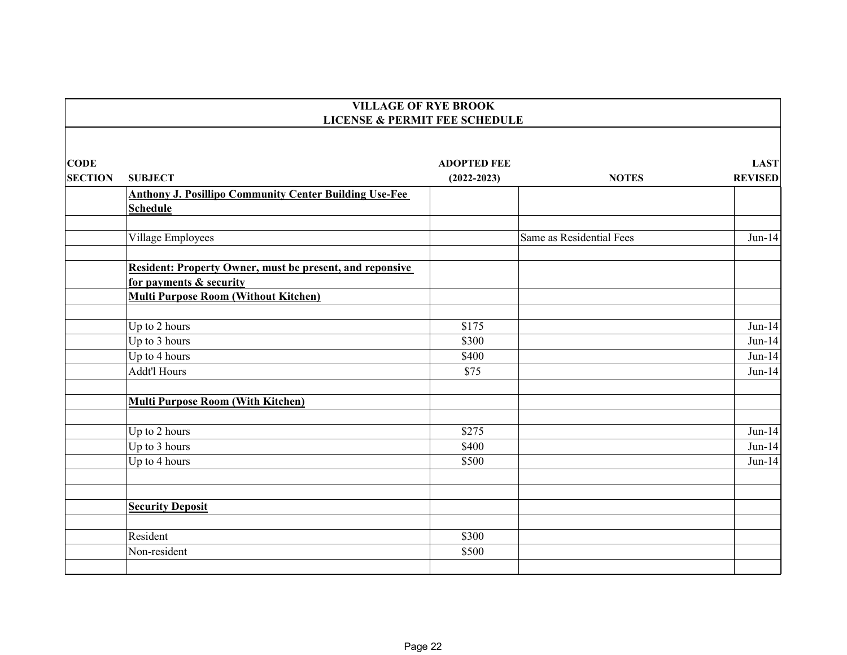|                | <b>VILLAGE OF RYE BROOK</b><br><b>LICENSE &amp; PERMIT FEE SCHEDULE</b>                    |                    |                          |                |
|----------------|--------------------------------------------------------------------------------------------|--------------------|--------------------------|----------------|
|                |                                                                                            |                    |                          |                |
| <b>CODE</b>    |                                                                                            | <b>ADOPTED FEE</b> |                          | <b>LAST</b>    |
| <b>SECTION</b> | <b>SUBJECT</b>                                                                             | $(2022 - 2023)$    | <b>NOTES</b>             | <b>REVISED</b> |
|                | <b>Anthony J. Posillipo Community Center Building Use-Fee</b>                              |                    |                          |                |
|                | <b>Schedule</b>                                                                            |                    |                          |                |
|                | Village Employees                                                                          |                    | Same as Residential Fees | $Jun-14$       |
|                | <b>Resident: Property Owner, must be present, and reponsive</b><br>for payments & security |                    |                          |                |
|                | <b>Multi Purpose Room (Without Kitchen)</b>                                                |                    |                          |                |
|                | Up to 2 hours                                                                              | \$175              |                          | $Jun-14$       |
|                | Up to 3 hours                                                                              | \$300              |                          | $Jun-14$       |
|                | Up to 4 hours                                                                              | \$400              |                          | $Jun-14$       |
|                | <b>Addt'l Hours</b>                                                                        | \$75               |                          | $Jun-14$       |
|                | <b>Multi Purpose Room (With Kitchen)</b>                                                   |                    |                          |                |
|                | Up to 2 hours                                                                              | \$275              |                          | $Jun-14$       |
|                | Up to 3 hours                                                                              | \$400              |                          | $Jun-14$       |
|                | Up to 4 hours                                                                              | \$500              |                          | $Jun-14$       |
|                |                                                                                            |                    |                          |                |
|                | <b>Security Deposit</b>                                                                    |                    |                          |                |
|                | Resident                                                                                   | \$300              |                          |                |
|                | Non-resident                                                                               | \$500              |                          |                |
|                |                                                                                            |                    |                          |                |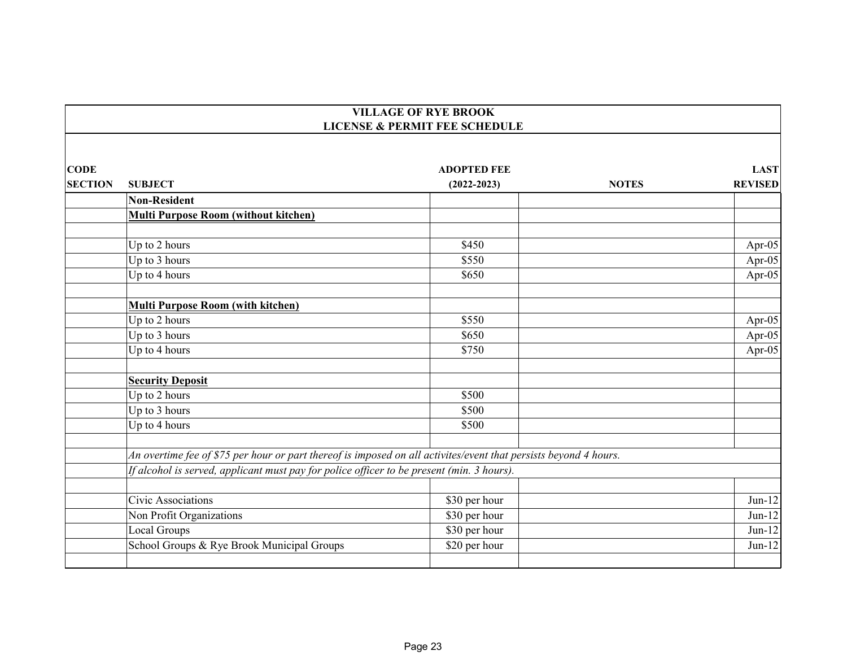|                | <b>VILLAGE OF RYE BROOK</b><br><b>LICENSE &amp; PERMIT FEE SCHEDULE</b>                                          |                    |              |                |  |
|----------------|------------------------------------------------------------------------------------------------------------------|--------------------|--------------|----------------|--|
|                |                                                                                                                  |                    |              |                |  |
| <b>CODE</b>    |                                                                                                                  | <b>ADOPTED FEE</b> |              | <b>LAST</b>    |  |
| <b>SECTION</b> | <b>SUBJECT</b>                                                                                                   | $(2022 - 2023)$    | <b>NOTES</b> | <b>REVISED</b> |  |
|                | <b>Non-Resident</b>                                                                                              |                    |              |                |  |
|                | <b>Multi Purpose Room (without kitchen)</b>                                                                      |                    |              |                |  |
|                |                                                                                                                  |                    |              |                |  |
|                | Up to 2 hours                                                                                                    | \$450              |              | Apr-05         |  |
|                | Up to 3 hours                                                                                                    | \$550              |              | Apr-05         |  |
|                | Up to 4 hours                                                                                                    | \$650              |              | Apr-05         |  |
|                | <b>Multi Purpose Room (with kitchen)</b>                                                                         |                    |              |                |  |
|                | Up to 2 hours                                                                                                    | \$550              |              | Apr-05         |  |
|                | Up to 3 hours                                                                                                    | \$650              |              | Apr-05         |  |
|                | Up to 4 hours                                                                                                    | \$750              |              | Apr-05         |  |
|                | <b>Security Deposit</b>                                                                                          |                    |              |                |  |
|                | Up to 2 hours                                                                                                    | \$500              |              |                |  |
|                | Up to 3 hours                                                                                                    | \$500              |              |                |  |
|                | Up to 4 hours                                                                                                    | \$500              |              |                |  |
|                | An overtime fee of \$75 per hour or part thereof is imposed on all activites/event that persists beyond 4 hours. |                    |              |                |  |
|                | If alcohol is served, applicant must pay for police officer to be present (min. 3 hours).                        |                    |              |                |  |
|                |                                                                                                                  |                    |              |                |  |
|                | Civic Associations                                                                                               | \$30 per hour      |              | $Jun-12$       |  |
|                | Non Profit Organizations                                                                                         | \$30 per hour      |              | $Jun-12$       |  |
|                | Local Groups                                                                                                     | \$30 per hour      |              | $Jun-12$       |  |
|                | School Groups & Rye Brook Municipal Groups                                                                       | \$20 per hour      |              | $Jun-12$       |  |
|                |                                                                                                                  |                    |              |                |  |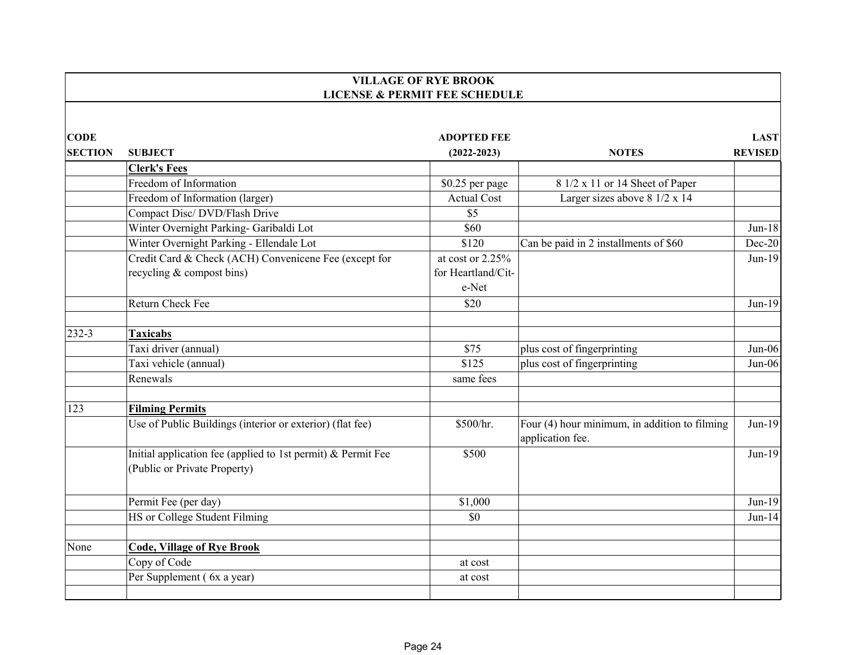|                               |                                                                                              | <b>VILLAGE OF RYE BROOK</b>              |                                                                   |                               |
|-------------------------------|----------------------------------------------------------------------------------------------|------------------------------------------|-------------------------------------------------------------------|-------------------------------|
|                               |                                                                                              | <b>LICENSE &amp; PERMIT FEE SCHEDULE</b> |                                                                   |                               |
| <b>CODE</b><br><b>SECTION</b> | <b>SUBJECT</b>                                                                               | <b>ADOPTED FEE</b><br>$(2022 - 2023)$    | <b>NOTES</b>                                                      | <b>LAST</b><br><b>REVISED</b> |
|                               | <b>Clerk's Fees</b>                                                                          |                                          |                                                                   |                               |
|                               | Freedom of Information                                                                       | \$0.25 per page                          | 8 1/2 x 11 or 14 Sheet of Paper                                   |                               |
|                               | Freedom of Information (larger)                                                              | <b>Actual Cost</b>                       | Larger sizes above 8 1/2 x 14                                     |                               |
|                               | Compact Disc/ DVD/Flash Drive                                                                | \$5                                      |                                                                   |                               |
|                               | Winter Overnight Parking- Garibaldi Lot                                                      | \$60                                     |                                                                   | $Jun-18$                      |
|                               | Winter Overnight Parking - Ellendale Lot                                                     | \$120                                    | Can be paid in 2 installments of \$60                             | Dec-20                        |
|                               | Credit Card & Check (ACH) Convenicene Fee (except for                                        | at cost or 2.25%                         |                                                                   | $Jun-19$                      |
|                               | recycling & compost bins)                                                                    | for Heartland/Cit-<br>e-Net              |                                                                   |                               |
|                               | Return Check Fee                                                                             | \$20                                     |                                                                   | $Jun-19$                      |
| 232-3                         | <b>Taxicabs</b>                                                                              |                                          |                                                                   |                               |
|                               | Taxi driver (annual)                                                                         | \$75                                     | plus cost of fingerprinting                                       | $Jun-06$                      |
|                               | Taxi vehicle (annual)                                                                        | \$125                                    | plus cost of fingerprinting                                       | $Jun-06$                      |
|                               | Renewals                                                                                     | same fees                                |                                                                   |                               |
| 123                           | <b>Filming Permits</b>                                                                       |                                          |                                                                   |                               |
|                               | Use of Public Buildings (interior or exterior) (flat fee)                                    | \$500/hr.                                | Four (4) hour minimum, in addition to filming<br>application fee. | $Jun-19$                      |
|                               | Initial application fee (applied to 1st permit) & Permit Fee<br>(Public or Private Property) | \$500                                    |                                                                   | $Jun-19$                      |
|                               | Permit Fee (per day)                                                                         | \$1,000                                  |                                                                   | $Jun-19$                      |
|                               | HS or College Student Filming                                                                | \$0                                      |                                                                   | $Jun-14$                      |
| None                          | <b>Code, Village of Rye Brook</b>                                                            |                                          |                                                                   |                               |
|                               | Copy of Code                                                                                 | at cost                                  |                                                                   |                               |
|                               | Per Supplement (6x a year)                                                                   | at cost                                  |                                                                   |                               |
|                               |                                                                                              |                                          |                                                                   |                               |